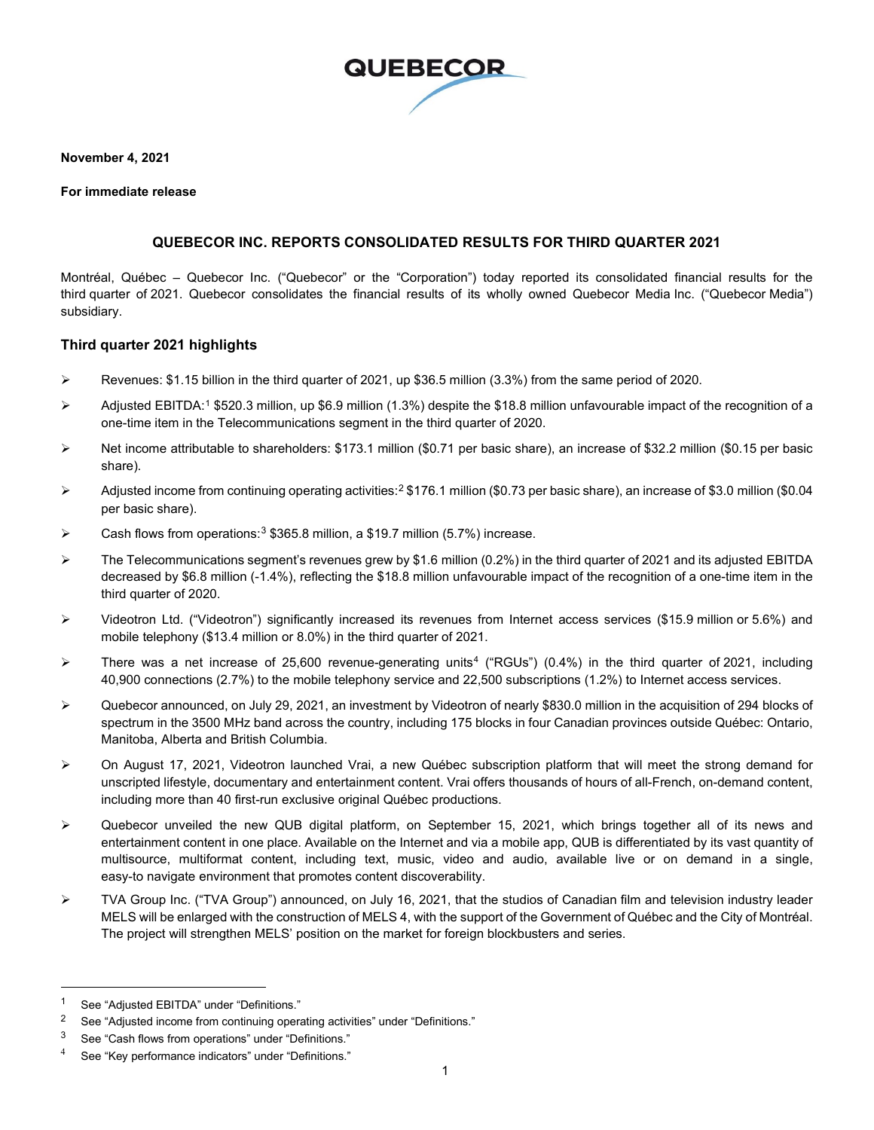

**November 4, 2021**

#### **For immediate release**

#### **QUEBECOR INC. REPORTS CONSOLIDATED RESULTS FOR THIRD QUARTER 2021**

Montréal, Québec – Quebecor Inc. ("Quebecor" or the "Corporation") today reported its consolidated financial results for the third quarter of 2021. Quebecor consolidates the financial results of its wholly owned Quebecor Media Inc. ("Quebecor Media") subsidiary.

#### **Third quarter 2021 highlights**

- Revenues: \$1.15 billion in the third quarter of 2021, up \$36.5 million (3.3%) from the same period of 2020.
- $\triangleright$  Adjusted EBITDA:<sup>[1](#page-0-0)</sup> \$520.3 million, up \$6.9 million (1.3%) despite the \$18.8 million unfavourable impact of the recognition of a one-time item in the Telecommunications segment in the third quarter of 2020.
- Net income attributable to shareholders: \$173.1 million (\$0.71 per basic share), an increase of \$32.2 million (\$0.15 per basic share).
- $\triangleright$  Adjusted income from continuing operating activities:<sup>[2](#page-0-1)</sup> \$176.1 million (\$0.73 per basic share), an increase of \$3.0 million (\$0.04 per basic share).
- $\triangleright$  Cash flows from operations:<sup>[3](#page-0-2)</sup> \$365.8 million, a \$19.7 million (5.7%) increase.
- $\triangleright$  The Telecommunications segment's revenues grew by \$1.6 million (0.2%) in the third quarter of 2021 and its adjusted EBITDA decreased by \$6.8 million (-1.4%), reflecting the \$18.8 million unfavourable impact of the recognition of a one-time item in the third quarter of 2020.
- $\triangleright$  Videotron Ltd. ("Videotron") significantly increased its revenues from Internet access services (\$15.9 million or 5.6%) and mobile telephony (\$13.4 million or 8.0%) in the third quarter of 2021.
- There was a net increase of 25,600 revenue-generating units<sup>[4](#page-0-3)</sup> ("RGUs") (0.4%) in the third quarter of 2021, including 40,900 connections (2.7%) to the mobile telephony service and 22,500 subscriptions (1.2%) to Internet access services.
- Quebecor announced, on July 29, 2021, an investment by Videotron of nearly \$830.0 million in the acquisition of 294 blocks of spectrum in the 3500 MHz band across the country, including 175 blocks in four Canadian provinces outside Québec: Ontario, Manitoba, Alberta and British Columbia.
- On August 17, 2021, Videotron launched Vrai, a new Québec subscription platform that will meet the strong demand for unscripted lifestyle, documentary and entertainment content. Vrai offers thousands of hours of all-French, on-demand content, including more than 40 first-run exclusive original Québec productions.
- $\triangleright$  Quebecor unveiled the new QUB digital platform, on September 15, 2021, which brings together all of its news and entertainment content in one place. Available on the Internet and via a mobile app, QUB is differentiated by its vast quantity of multisource, multiformat content, including text, music, video and audio, available live or on demand in a single, easy-to navigate environment that promotes content discoverability.
- TVA Group Inc. ("TVA Group") announced, on July 16, 2021, that the studios of Canadian film and television industry leader MELS will be enlarged with the construction of MELS 4, with the support of the Government of Québec and the City of Montréal. The project will strengthen MELS' position on the market for foreign blockbusters and series.

<span id="page-0-0"></span><sup>1</sup> See "Adjusted EBITDA" under "Definitions."

<span id="page-0-1"></span><sup>&</sup>lt;sup>2</sup> See "Adjusted income from continuing operating activities" under "Definitions."

<span id="page-0-2"></span><sup>3</sup> See "Cash flows from operations" under "Definitions."

<span id="page-0-3"></span><sup>4</sup> See "Key performance indicators" under "Definitions."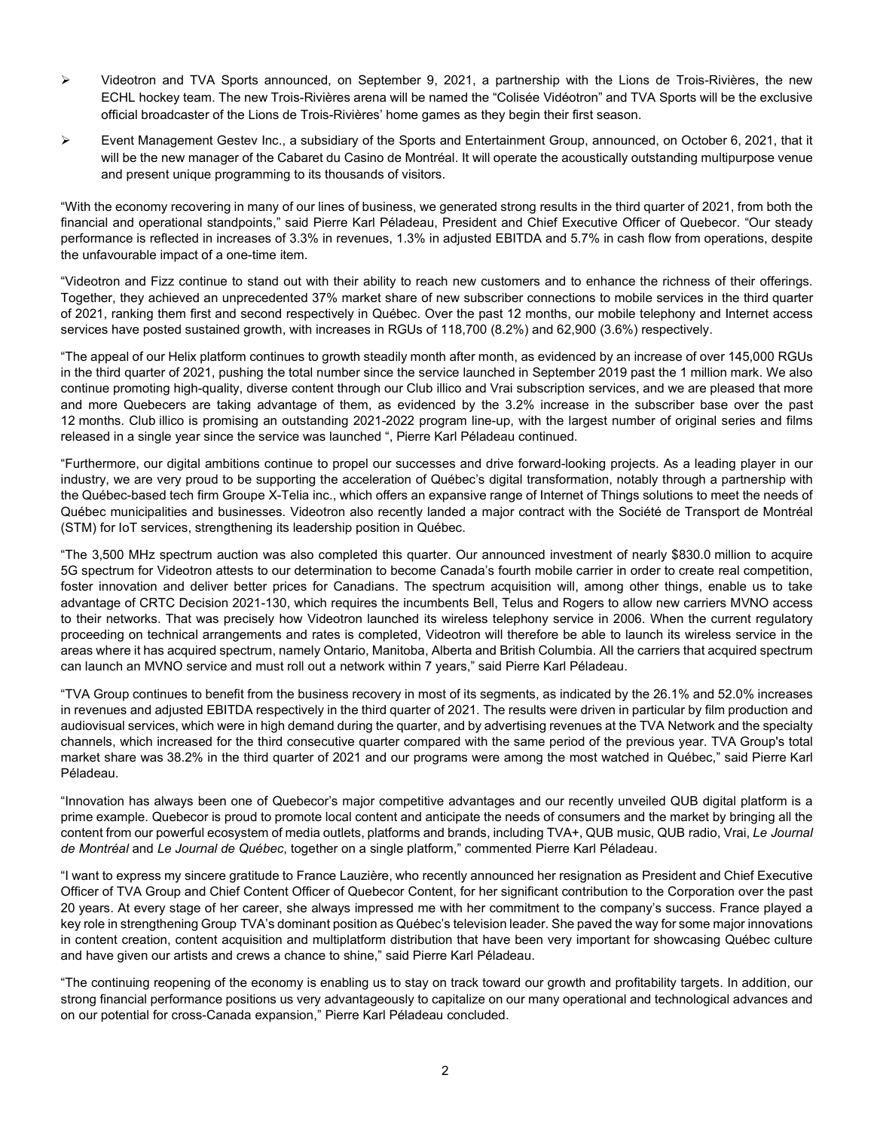- Videotron and TVA Sports announced, on September 9, 2021, a partnership with the Lions de Trois-Rivières, the new ECHL hockey team. The new Trois-Rivières arena will be named the "Colisée Vidéotron" and TVA Sports will be the exclusive official broadcaster of the Lions de Trois-Rivières' home games as they begin their first season.
- Event Management Gestev Inc., a subsidiary of the Sports and Entertainment Group, announced, on October 6, 2021, that it will be the new manager of the Cabaret du Casino de Montréal. It will operate the acoustically outstanding multipurpose venue and present unique programming to its thousands of visitors.

"With the economy recovering in many of our lines of business, we generated strong results in the third quarter of 2021, from both the financial and operational standpoints," said Pierre Karl Péladeau, President and Chief Executive Officer of Quebecor. "Our steady performance is reflected in increases of 3.3% in revenues, 1.3% in adjusted EBITDA and 5.7% in cash flow from operations, despite the unfavourable impact of a one-time item.

"Videotron and Fizz continue to stand out with their ability to reach new customers and to enhance the richness of their offerings. Together, they achieved an unprecedented 37% market share of new subscriber connections to mobile services in the third quarter of 2021, ranking them first and second respectively in Québec. Over the past 12 months, our mobile telephony and Internet access services have posted sustained growth, with increases in RGUs of 118,700 (8.2%) and 62,900 (3.6%) respectively.

"The appeal of our Helix platform continues to growth steadily month after month, as evidenced by an increase of over 145,000 RGUs in the third quarter of 2021, pushing the total number since the service launched in September 2019 past the 1 million mark. We also continue promoting high-quality, diverse content through our Club illico and Vrai subscription services, and we are pleased that more and more Quebecers are taking advantage of them, as evidenced by the 3.2% increase in the subscriber base over the past 12 months. Club illico is promising an outstanding 2021-2022 program line-up, with the largest number of original series and films released in a single year since the service was launched ", Pierre Karl Péladeau continued.

"Furthermore, our digital ambitions continue to propel our successes and drive forward-looking projects. As a leading player in our industry, we are very proud to be supporting the acceleration of Québec's digital transformation, notably through a partnership with the Québec-based tech firm Groupe X-Telia inc., which offers an expansive range of Internet of Things solutions to meet the needs of Québec municipalities and businesses. Videotron also recently landed a major contract with the Société de Transport de Montréal (STM) for IoT services, strengthening its leadership position in Québec.

"The 3,500 MHz spectrum auction was also completed this quarter. Our announced investment of nearly \$830.0 million to acquire 5G spectrum for Videotron attests to our determination to become Canada's fourth mobile carrier in order to create real competition, foster innovation and deliver better prices for Canadians. The spectrum acquisition will, among other things, enable us to take advantage of CRTC Decision 2021-130, which requires the incumbents Bell, Telus and Rogers to allow new carriers MVNO access to their networks. That was precisely how Videotron launched its wireless telephony service in 2006. When the current regulatory proceeding on technical arrangements and rates is completed, Videotron will therefore be able to launch its wireless service in the areas where it has acquired spectrum, namely Ontario, Manitoba, Alberta and British Columbia. All the carriers that acquired spectrum can launch an MVNO service and must roll out a network within 7 years," said Pierre Karl Péladeau.

"TVA Group continues to benefit from the business recovery in most of its segments, as indicated by the 26.1% and 52.0% increases in revenues and adjusted EBITDA respectively in the third quarter of 2021. The results were driven in particular by film production and audiovisual services, which were in high demand during the quarter, and by advertising revenues at the TVA Network and the specialty channels, which increased for the third consecutive quarter compared with the same period of the previous year. TVA Group's total market share was 38.2% in the third quarter of 2021 and our programs were among the most watched in Québec," said Pierre Karl Péladeau.

"Innovation has always been one of Quebecor's major competitive advantages and our recently unveiled QUB digital platform is a prime example. Quebecor is proud to promote local content and anticipate the needs of consumers and the market by bringing all the content from our powerful ecosystem of media outlets, platforms and brands, including TVA+, QUB music, QUB radio, Vrai, *Le Journal de Montréal* and *Le Journal de Québec*, together on a single platform," commented Pierre Karl Péladeau.

"I want to express my sincere gratitude to France Lauzière, who recently announced her resignation as President and Chief Executive Officer of TVA Group and Chief Content Officer of Quebecor Content, for her significant contribution to the Corporation over the past 20 years. At every stage of her career, she always impressed me with her commitment to the company's success. France played a key role in strengthening Group TVA's dominant position as Québec's television leader. She paved the way for some major innovations in content creation, content acquisition and multiplatform distribution that have been very important for showcasing Québec culture and have given our artists and crews a chance to shine," said Pierre Karl Péladeau.

"The continuing reopening of the economy is enabling us to stay on track toward our growth and profitability targets. In addition, our strong financial performance positions us very advantageously to capitalize on our many operational and technological advances and on our potential for cross-Canada expansion," Pierre Karl Péladeau concluded.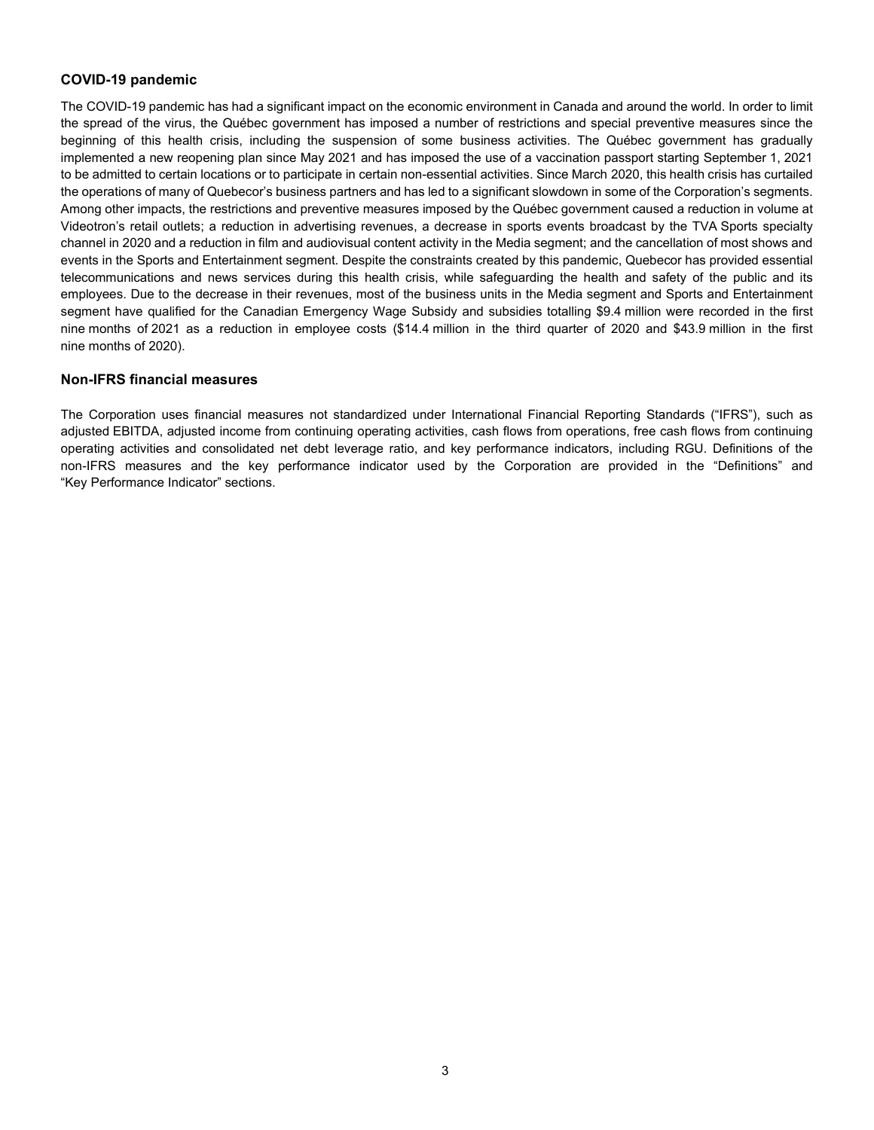### **COVID-19 pandemic**

The COVID-19 pandemic has had a significant impact on the economic environment in Canada and around the world. In order to limit the spread of the virus, the Québec government has imposed a number of restrictions and special preventive measures since the beginning of this health crisis, including the suspension of some business activities. The Québec government has gradually implemented a new reopening plan since May 2021 and has imposed the use of a vaccination passport starting September 1, 2021 to be admitted to certain locations or to participate in certain non-essential activities. Since March 2020, this health crisis has curtailed the operations of many of Quebecor's business partners and has led to a significant slowdown in some of the Corporation's segments. Among other impacts, the restrictions and preventive measures imposed by the Québec government caused a reduction in volume at Videotron's retail outlets; a reduction in advertising revenues, a decrease in sports events broadcast by the TVA Sports specialty channel in 2020 and a reduction in film and audiovisual content activity in the Media segment; and the cancellation of most shows and events in the Sports and Entertainment segment. Despite the constraints created by this pandemic, Quebecor has provided essential telecommunications and news services during this health crisis, while safeguarding the health and safety of the public and its employees. Due to the decrease in their revenues, most of the business units in the Media segment and Sports and Entertainment segment have qualified for the Canadian Emergency Wage Subsidy and subsidies totalling \$9.4 million were recorded in the first nine months of 2021 as a reduction in employee costs (\$14.4 million in the third quarter of 2020 and \$43.9 million in the first nine months of 2020).

#### **Non-IFRS financial measures**

The Corporation uses financial measures not standardized under International Financial Reporting Standards ("IFRS"), such as adjusted EBITDA, adjusted income from continuing operating activities, cash flows from operations, free cash flows from continuing operating activities and consolidated net debt leverage ratio, and key performance indicators, including RGU. Definitions of the non-IFRS measures and the key performance indicator used by the Corporation are provided in the "Definitions" and "Key Performance Indicator" sections.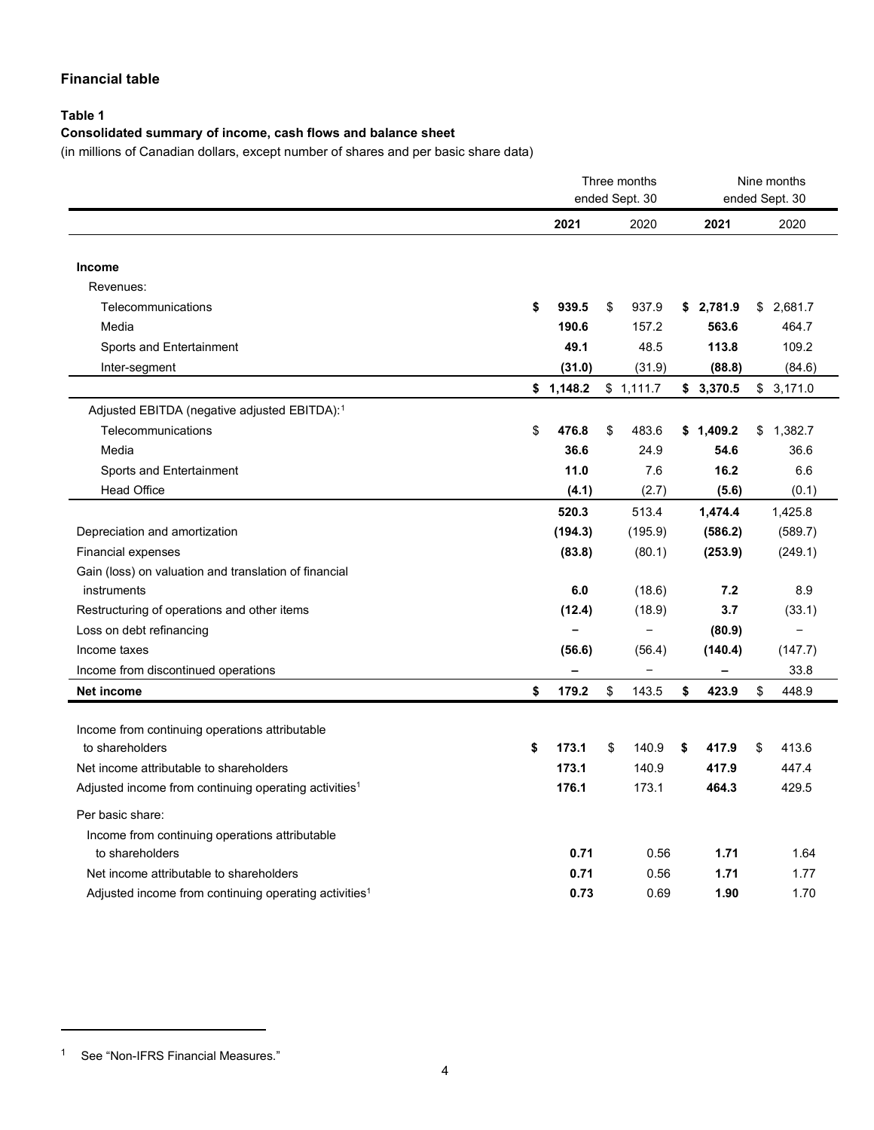### **Financial table**

### **Table 1**

### **Consolidated summary of income, cash flows and balance sheet**

(in millions of Canadian dollars, except number of shares and per basic share data)

|                                                                   |             | Three months<br>ended Sept. 30 |             | Nine months<br>ended Sept. 30 |
|-------------------------------------------------------------------|-------------|--------------------------------|-------------|-------------------------------|
|                                                                   | 2021        | 2020                           | 2021        | 2020                          |
| Income                                                            |             |                                |             |                               |
| Revenues:                                                         |             |                                |             |                               |
| Telecommunications                                                | \$<br>939.5 | \$<br>937.9                    | \$2,781.9   | \$2,681.7                     |
| Media                                                             | 190.6       | 157.2                          | 563.6       | 464.7                         |
| Sports and Entertainment                                          | 49.1        | 48.5                           | 113.8       | 109.2                         |
| Inter-segment                                                     | (31.0)      | (31.9)                         | (88.8)      | (84.6)                        |
|                                                                   | \$1,148.2   | \$1,111.7                      | \$3,370.5   | \$3,171.0                     |
| Adjusted EBITDA (negative adjusted EBITDA): <sup>1</sup>          |             |                                |             |                               |
| Telecommunications                                                | \$<br>476.8 | \$<br>483.6                    | \$1,409.2   | \$1,382.7                     |
| Media                                                             | 36.6        | 24.9                           | 54.6        | 36.6                          |
| Sports and Entertainment                                          | 11.0        | 7.6                            | 16.2        | 6.6                           |
| <b>Head Office</b>                                                | (4.1)       | (2.7)                          | (5.6)       | (0.1)                         |
|                                                                   | 520.3       | 513.4                          | 1,474.4     | 1,425.8                       |
| Depreciation and amortization                                     | (194.3)     | (195.9)                        | (586.2)     | (589.7)                       |
| <b>Financial expenses</b>                                         | (83.8)      | (80.1)                         | (253.9)     | (249.1)                       |
| Gain (loss) on valuation and translation of financial             |             |                                |             |                               |
| instruments                                                       | 6.0         | (18.6)                         | 7.2         | 8.9                           |
| Restructuring of operations and other items                       | (12.4)      | (18.9)                         | 3.7         | (33.1)                        |
| Loss on debt refinancing                                          |             |                                | (80.9)      |                               |
| Income taxes                                                      | (56.6)      | (56.4)                         | (140.4)     | (147.7)                       |
| Income from discontinued operations                               |             |                                |             | 33.8                          |
| Net income                                                        | \$<br>179.2 | \$<br>143.5                    | \$<br>423.9 | \$<br>448.9                   |
|                                                                   |             |                                |             |                               |
| Income from continuing operations attributable                    |             |                                |             |                               |
| to shareholders                                                   | \$<br>173.1 | \$<br>140.9                    | \$<br>417.9 | \$<br>413.6                   |
| Net income attributable to shareholders                           | 173.1       | 140.9                          | 417.9       | 447.4                         |
| Adjusted income from continuing operating activities <sup>1</sup> | 176.1       | 173.1                          | 464.3       | 429.5                         |
| Per basic share:                                                  |             |                                |             |                               |
| Income from continuing operations attributable                    |             |                                |             |                               |
| to shareholders                                                   | 0.71        | 0.56                           | 1.71        | 1.64                          |
| Net income attributable to shareholders                           | 0.71        | 0.56                           | 1.71        | 1.77                          |
| Adjusted income from continuing operating activities <sup>1</sup> | 0.73        | 0.69                           | 1.90        | 1.70                          |

<span id="page-3-0"></span><sup>1</sup> See "Non-IFRS Financial Measures."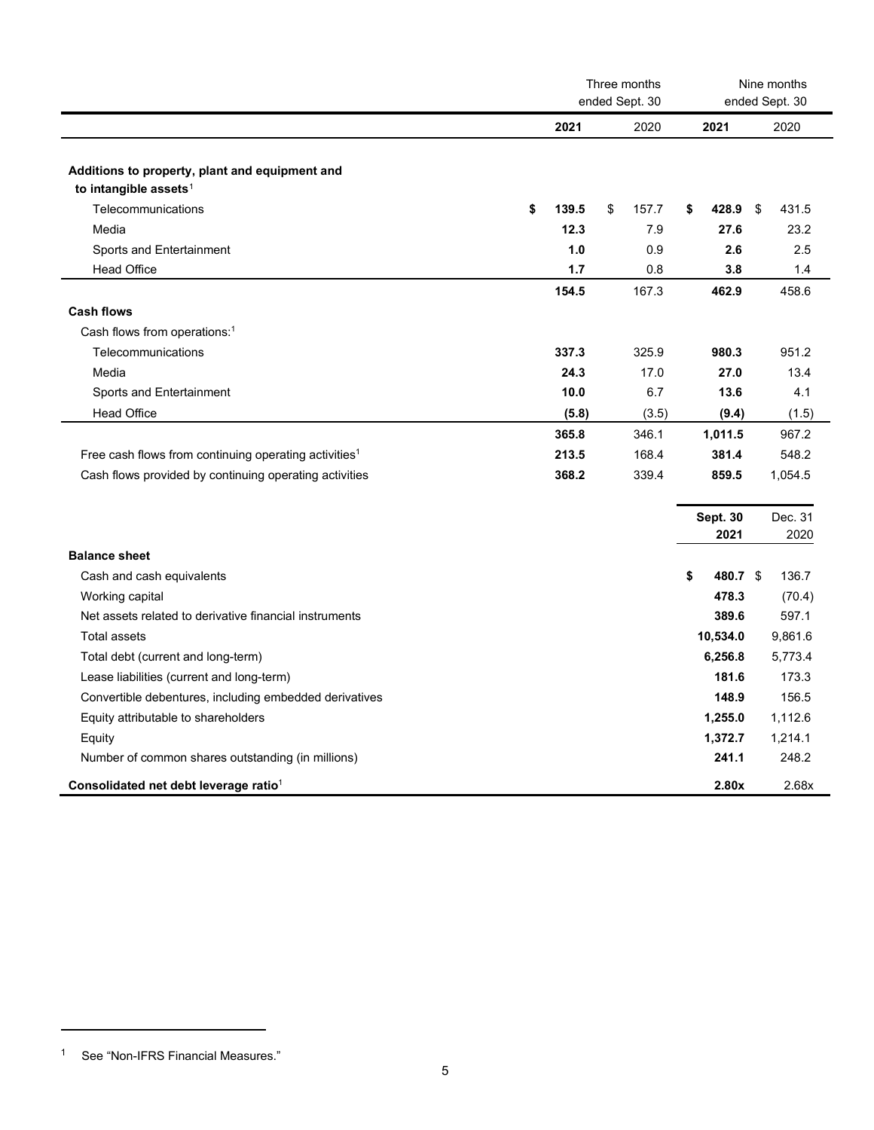|                                                                                     | Three months<br>ended Sept. 30<br>ended Sept. 30 |       | Nine months |       |                 |             |
|-------------------------------------------------------------------------------------|--------------------------------------------------|-------|-------------|-------|-----------------|-------------|
|                                                                                     | 2021                                             |       |             | 2020  | 2021            | 2020        |
| Additions to property, plant and equipment and<br>to intangible assets <sup>1</sup> |                                                  |       |             |       |                 |             |
| Telecommunications                                                                  | \$                                               | 139.5 | \$          | 157.7 | \$<br>428.9     | 431.5<br>\$ |
| Media                                                                               |                                                  | 12.3  |             | 7.9   | 27.6            | 23.2        |
| Sports and Entertainment                                                            |                                                  | 1.0   |             | 0.9   | 2.6             | 2.5         |
| <b>Head Office</b>                                                                  |                                                  | 1.7   |             | 0.8   | 3.8             | 1.4         |
|                                                                                     |                                                  | 154.5 |             | 167.3 | 462.9           | 458.6       |
| <b>Cash flows</b>                                                                   |                                                  |       |             |       |                 |             |
| Cash flows from operations: <sup>1</sup>                                            |                                                  |       |             |       |                 |             |
| Telecommunications                                                                  |                                                  | 337.3 |             | 325.9 | 980.3           | 951.2       |
| Media                                                                               |                                                  | 24.3  |             | 17.0  | 27.0            | 13.4        |
| Sports and Entertainment                                                            |                                                  | 10.0  |             | 6.7   | 13.6            | 4.1         |
| <b>Head Office</b>                                                                  |                                                  | (5.8) |             | (3.5) | (9.4)           | (1.5)       |
|                                                                                     |                                                  | 365.8 |             | 346.1 | 1,011.5         | 967.2       |
| Free cash flows from continuing operating activities <sup>1</sup>                   |                                                  | 213.5 |             | 168.4 | 381.4           | 548.2       |
| Cash flows provided by continuing operating activities                              |                                                  | 368.2 |             | 339.4 | 859.5           | 1,054.5     |
|                                                                                     |                                                  |       |             |       |                 |             |
|                                                                                     |                                                  |       |             |       | <b>Sept. 30</b> | Dec. 31     |
|                                                                                     |                                                  |       |             |       | 2021            | 2020        |
| <b>Balance sheet</b>                                                                |                                                  |       |             |       |                 |             |
| Cash and cash equivalents                                                           |                                                  |       |             |       | \$<br>480.7 \$  | 136.7       |
| Working capital                                                                     |                                                  |       |             |       | 478.3           | (70.4)      |
| Net assets related to derivative financial instruments                              |                                                  |       |             |       | 389.6           | 597.1       |
| <b>Total assets</b>                                                                 |                                                  |       |             |       | 10,534.0        | 9,861.6     |
| Total debt (current and long-term)                                                  |                                                  |       |             |       | 6,256.8         | 5,773.4     |
| Lease liabilities (current and long-term)                                           |                                                  |       |             |       | 181.6           | 173.3       |
| Convertible debentures, including embedded derivatives                              |                                                  |       |             |       | 148.9           | 156.5       |
| Equity attributable to shareholders                                                 |                                                  |       |             |       | 1,255.0         | 1,112.6     |
| Equity                                                                              |                                                  |       |             |       | 1,372.7         | 1,214.1     |
| Number of common shares outstanding (in millions)                                   |                                                  |       |             |       | 241.1           | 248.2       |
| Consolidated net debt leverage ratio <sup>1</sup>                                   |                                                  |       |             |       | 2.80x           | 2.68x       |

<span id="page-4-0"></span><sup>1</sup> See "Non-IFRS Financial Measures."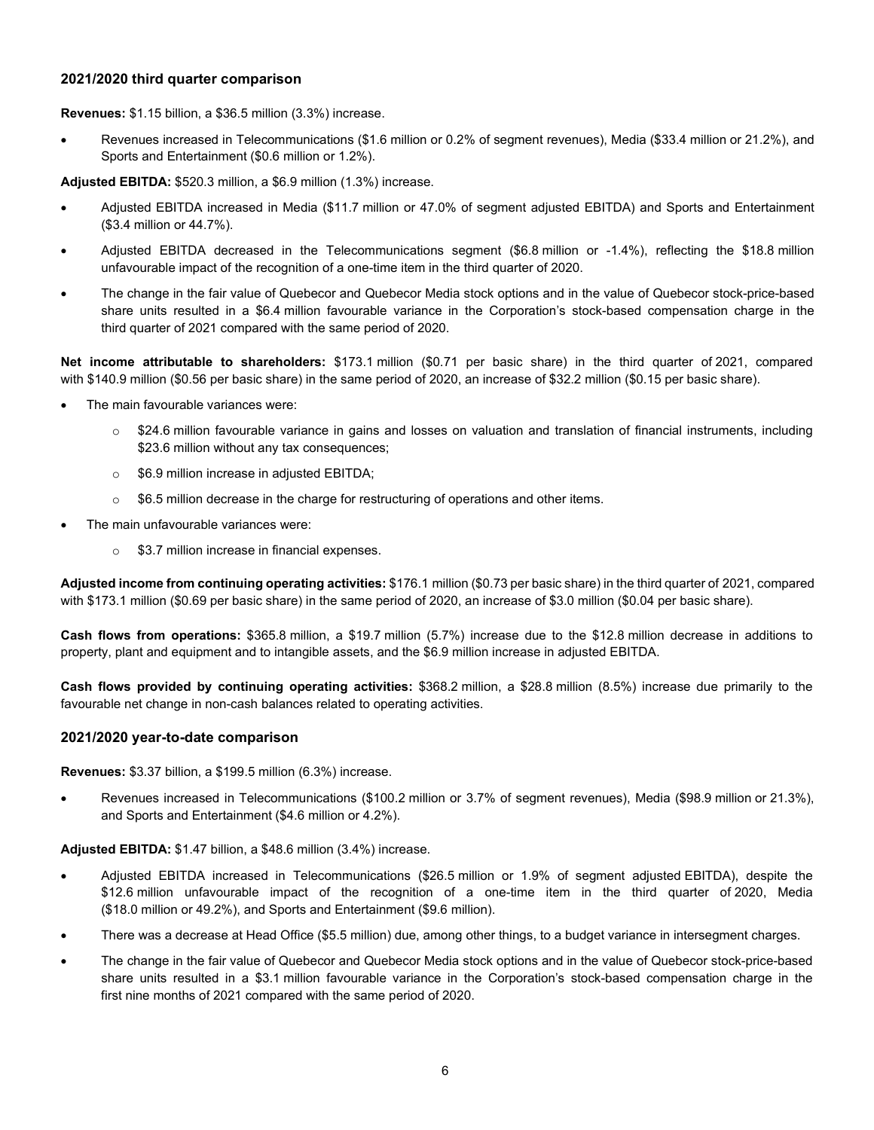#### **2021/2020 third quarter comparison**

**Revenues:** \$1.15 billion, a \$36.5 million (3.3%) increase.

• Revenues increased in Telecommunications (\$1.6 million or 0.2% of segment revenues), Media (\$33.4 million or 21.2%), and Sports and Entertainment (\$0.6 million or 1.2%).

**Adjusted EBITDA:** \$520.3 million, a \$6.9 million (1.3%) increase.

- Adjusted EBITDA increased in Media (\$11.7 million or 47.0% of segment adjusted EBITDA) and Sports and Entertainment (\$3.4 million or 44.7%).
- Adjusted EBITDA decreased in the Telecommunications segment (\$6.8 million or -1.4%), reflecting the \$18.8 million unfavourable impact of the recognition of a one-time item in the third quarter of 2020.
- The change in the fair value of Quebecor and Quebecor Media stock options and in the value of Quebecor stock-price-based share units resulted in a \$6.4 million favourable variance in the Corporation's stock-based compensation charge in the third quarter of 2021 compared with the same period of 2020.

**Net income attributable to shareholders:** \$173.1 million (\$0.71 per basic share) in the third quarter of 2021, compared with \$140.9 million (\$0.56 per basic share) in the same period of 2020, an increase of \$32.2 million (\$0.15 per basic share).

- The main favourable variances were:
	- $\circ$  \$24.6 million favourable variance in gains and losses on valuation and translation of financial instruments, including \$23.6 million without any tax consequences;
	- o \$6.9 million increase in adjusted EBITDA;
	- o \$6.5 million decrease in the charge for restructuring of operations and other items.
- The main unfavourable variances were:
	- o \$3.7 million increase in financial expenses.

**Adjusted income from continuing operating activities:** \$176.1 million (\$0.73 per basic share) in the third quarter of 2021, compared with \$173.1 million (\$0.69 per basic share) in the same period of 2020, an increase of \$3.0 million (\$0.04 per basic share).

**Cash flows from operations:** \$365.8 million, a \$19.7 million (5.7%) increase due to the \$12.8 million decrease in additions to property, plant and equipment and to intangible assets, and the \$6.9 million increase in adjusted EBITDA.

**Cash flows provided by continuing operating activities:** \$368.2 million, a \$28.8 million (8.5%) increase due primarily to the favourable net change in non-cash balances related to operating activities.

#### **2021/2020 year-to-date comparison**

**Revenues:** \$3.37 billion, a \$199.5 million (6.3%) increase.

• Revenues increased in Telecommunications (\$100.2 million or 3.7% of segment revenues), Media (\$98.9 million or 21.3%), and Sports and Entertainment (\$4.6 million or 4.2%).

**Adjusted EBITDA:** \$1.47 billion, a \$48.6 million (3.4%) increase.

- Adjusted EBITDA increased in Telecommunications (\$26.5 million or 1.9% of segment adjusted EBITDA), despite the \$12.6 million unfavourable impact of the recognition of a one-time item in the third quarter of 2020, Media (\$18.0 million or 49.2%), and Sports and Entertainment (\$9.6 million).
- There was a decrease at Head Office (\$5.5 million) due, among other things, to a budget variance in intersegment charges.
- The change in the fair value of Quebecor and Quebecor Media stock options and in the value of Quebecor stock-price-based share units resulted in a \$3.1 million favourable variance in the Corporation's stock-based compensation charge in the first nine months of 2021 compared with the same period of 2020.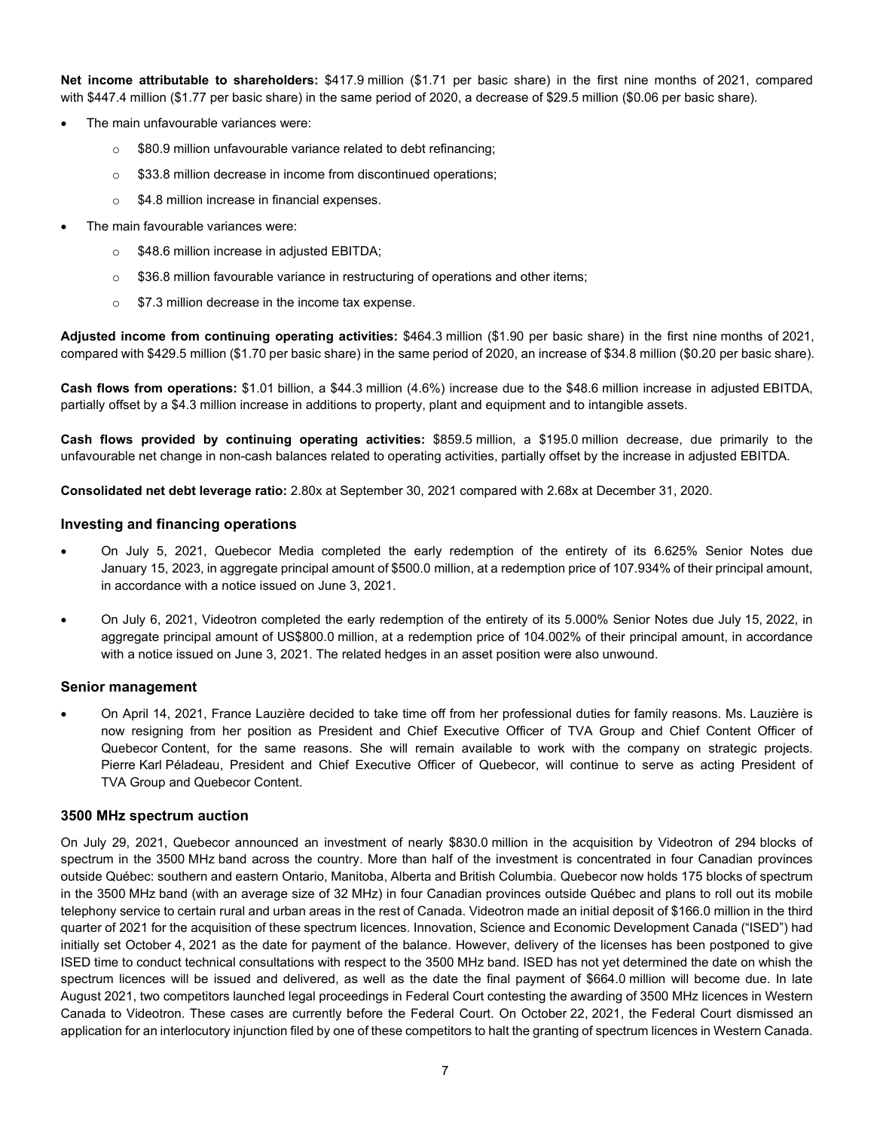**Net income attributable to shareholders:** \$417.9 million (\$1.71 per basic share) in the first nine months of 2021, compared with \$447.4 million (\$1.77 per basic share) in the same period of 2020, a decrease of \$29.5 million (\$0.06 per basic share).

- The main unfavourable variances were:
	- o \$80.9 million unfavourable variance related to debt refinancing;
	- o \$33.8 million decrease in income from discontinued operations;
	- $\circ$  \$4.8 million increase in financial expenses.
- The main favourable variances were:
	- o \$48.6 million increase in adjusted EBITDA;
	- o \$36.8 million favourable variance in restructuring of operations and other items;
	- o \$7.3 million decrease in the income tax expense.

**Adjusted income from continuing operating activities:** \$464.3 million (\$1.90 per basic share) in the first nine months of 2021, compared with \$429.5 million (\$1.70 per basic share) in the same period of 2020, an increase of \$34.8 million (\$0.20 per basic share).

**Cash flows from operations:** \$1.01 billion, a \$44.3 million (4.6%) increase due to the \$48.6 million increase in adjusted EBITDA, partially offset by a \$4.3 million increase in additions to property, plant and equipment and to intangible assets.

**Cash flows provided by continuing operating activities:** \$859.5 million, a \$195.0 million decrease, due primarily to the unfavourable net change in non-cash balances related to operating activities, partially offset by the increase in adjusted EBITDA.

**Consolidated net debt leverage ratio:** 2.80x at September 30, 2021 compared with 2.68x at December 31, 2020.

#### **Investing and financing operations**

- On July 5, 2021, Quebecor Media completed the early redemption of the entirety of its 6.625% Senior Notes due January 15, 2023, in aggregate principal amount of \$500.0 million, at a redemption price of 107.934% of their principal amount, in accordance with a notice issued on June 3, 2021.
- On July 6, 2021, Videotron completed the early redemption of the entirety of its 5.000% Senior Notes due July 15, 2022, in aggregate principal amount of US\$800.0 million, at a redemption price of 104.002% of their principal amount, in accordance with a notice issued on June 3, 2021. The related hedges in an asset position were also unwound.

#### **Senior management**

• On April 14, 2021, France Lauzière decided to take time off from her professional duties for family reasons. Ms. Lauzière is now resigning from her position as President and Chief Executive Officer of TVA Group and Chief Content Officer of Quebecor Content, for the same reasons. She will remain available to work with the company on strategic projects. Pierre Karl Péladeau, President and Chief Executive Officer of Quebecor, will continue to serve as acting President of TVA Group and Quebecor Content.

#### **3500 MHz spectrum auction**

On July 29, 2021, Quebecor announced an investment of nearly \$830.0 million in the acquisition by Videotron of 294 blocks of spectrum in the 3500 MHz band across the country. More than half of the investment is concentrated in four Canadian provinces outside Québec: southern and eastern Ontario, Manitoba, Alberta and British Columbia. Quebecor now holds 175 blocks of spectrum in the 3500 MHz band (with an average size of 32 MHz) in four Canadian provinces outside Québec and plans to roll out its mobile telephony service to certain rural and urban areas in the rest of Canada. Videotron made an initial deposit of \$166.0 million in the third quarter of 2021 for the acquisition of these spectrum licences. Innovation, Science and Economic Development Canada ("ISED") had initially set October 4, 2021 as the date for payment of the balance. However, delivery of the licenses has been postponed to give ISED time to conduct technical consultations with respect to the 3500 MHz band. ISED has not yet determined the date on whish the spectrum licences will be issued and delivered, as well as the date the final payment of \$664.0 million will become due. In late August 2021, two competitors launched legal proceedings in Federal Court contesting the awarding of 3500 MHz licences in Western Canada to Videotron. These cases are currently before the Federal Court. On October 22, 2021, the Federal Court dismissed an application for an interlocutory injunction filed by one of these competitors to halt the granting of spectrum licences in Western Canada.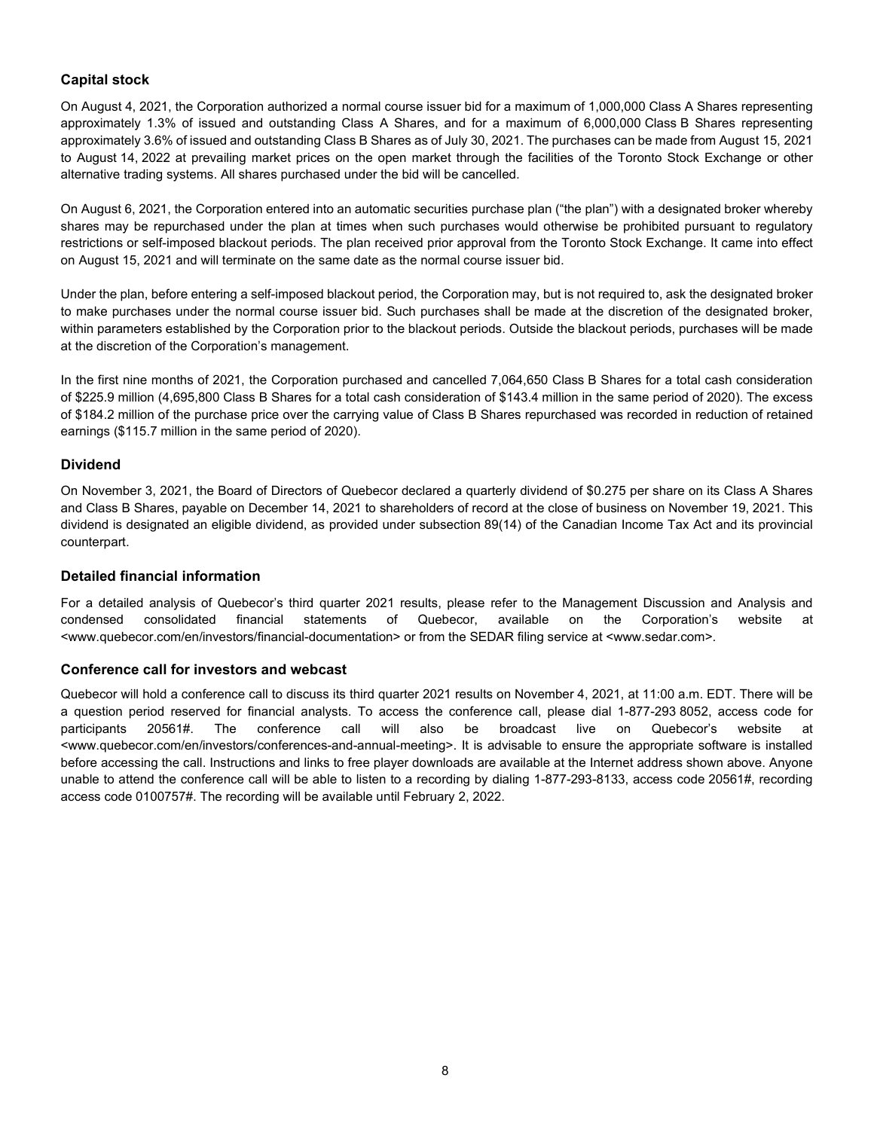### **Capital stock**

On August 4, 2021, the Corporation authorized a normal course issuer bid for a maximum of 1,000,000 Class A Shares representing approximately 1.3% of issued and outstanding Class A Shares, and for a maximum of 6,000,000 Class B Shares representing approximately 3.6% of issued and outstanding Class B Shares as of July 30, 2021. The purchases can be made from August 15, 2021 to August 14, 2022 at prevailing market prices on the open market through the facilities of the Toronto Stock Exchange or other alternative trading systems. All shares purchased under the bid will be cancelled.

On August 6, 2021, the Corporation entered into an automatic securities purchase plan ("the plan") with a designated broker whereby shares may be repurchased under the plan at times when such purchases would otherwise be prohibited pursuant to regulatory restrictions or self-imposed blackout periods. The plan received prior approval from the Toronto Stock Exchange. It came into effect on August 15, 2021 and will terminate on the same date as the normal course issuer bid.

Under the plan, before entering a self-imposed blackout period, the Corporation may, but is not required to, ask the designated broker to make purchases under the normal course issuer bid. Such purchases shall be made at the discretion of the designated broker, within parameters established by the Corporation prior to the blackout periods. Outside the blackout periods, purchases will be made at the discretion of the Corporation's management.

In the first nine months of 2021, the Corporation purchased and cancelled 7,064,650 Class B Shares for a total cash consideration of \$225.9 million (4,695,800 Class B Shares for a total cash consideration of \$143.4 million in the same period of 2020). The excess of \$184.2 million of the purchase price over the carrying value of Class B Shares repurchased was recorded in reduction of retained earnings (\$115.7 million in the same period of 2020).

#### **Dividend**

On November 3, 2021, the Board of Directors of Quebecor declared a quarterly dividend of \$0.275 per share on its Class A Shares and Class B Shares, payable on December 14, 2021 to shareholders of record at the close of business on November 19, 2021. This dividend is designated an eligible dividend, as provided under subsection 89(14) of the Canadian Income Tax Act and its provincial counterpart.

#### **Detailed financial information**

For a detailed analysis of Quebecor's third quarter 2021 results, please refer to the Management Discussion and Analysis and condensed consolidated financial statements of Quebecor, available on the Corporation's website at <www.quebecor.com/en/investors/financial-documentation> or from the SEDAR filing service at <www.sedar.com>.

#### **Conference call for investors and webcast**

Quebecor will hold a conference call to discuss its third quarter 2021 results on November 4, 2021, at 11:00 a.m. EDT. There will be a question period reserved for financial analysts. To access the conference call, please dial 1-877-293 8052, access code for participants 20561#. The conference call will also be broadcast live on Quebecor's website at <www.quebecor.com/en/investors/conferences-and-annual-meeting>. It is advisable to ensure the appropriate software is installed before accessing the call. Instructions and links to free player downloads are available at the Internet address shown above. Anyone unable to attend the conference call will be able to listen to a recording by dialing 1-877-293-8133, access code 20561#, recording access code 0100757#. The recording will be available until February 2, 2022.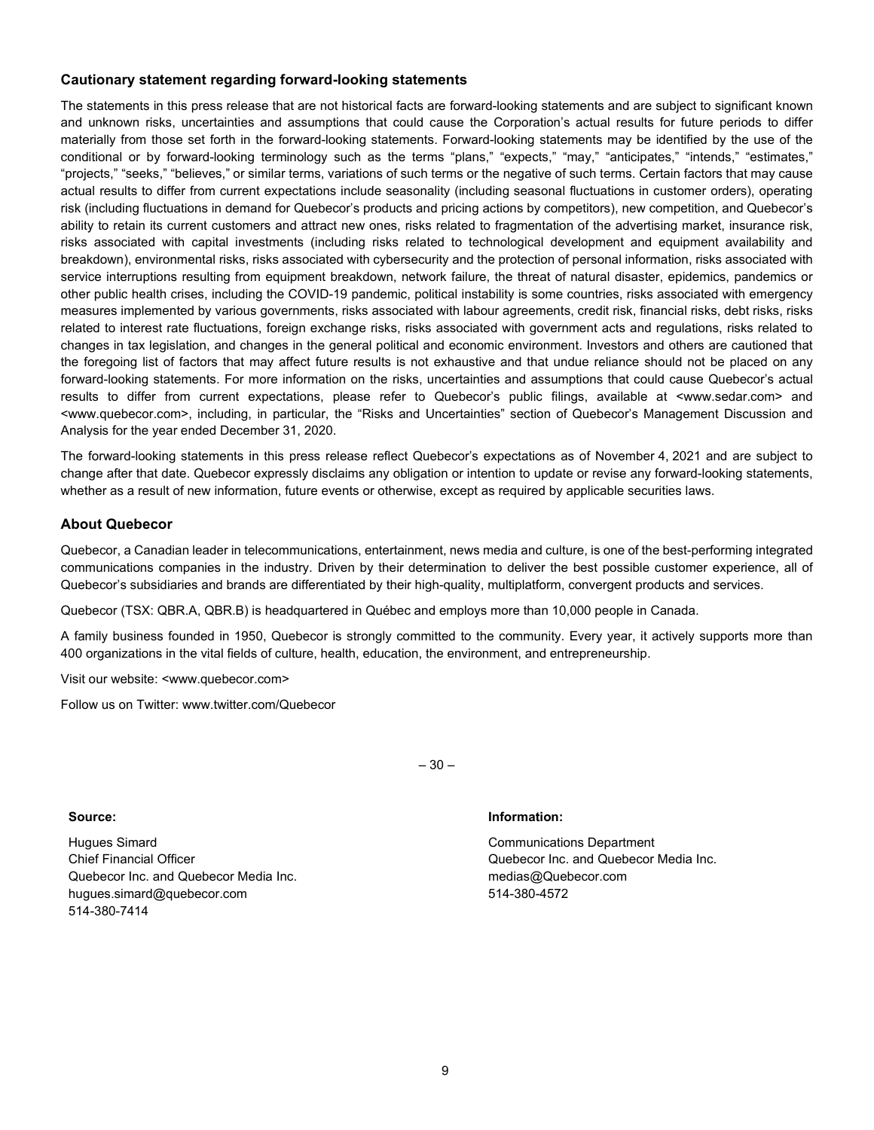#### **Cautionary statement regarding forward-looking statements**

The statements in this press release that are not historical facts are forward-looking statements and are subject to significant known and unknown risks, uncertainties and assumptions that could cause the Corporation's actual results for future periods to differ materially from those set forth in the forward-looking statements. Forward-looking statements may be identified by the use of the conditional or by forward-looking terminology such as the terms "plans," "expects," "may," "anticipates," "intends," "estimates," "projects," "seeks," "believes," or similar terms, variations of such terms or the negative of such terms. Certain factors that may cause actual results to differ from current expectations include seasonality (including seasonal fluctuations in customer orders), operating risk (including fluctuations in demand for Quebecor's products and pricing actions by competitors), new competition, and Quebecor's ability to retain its current customers and attract new ones, risks related to fragmentation of the advertising market, insurance risk, risks associated with capital investments (including risks related to technological development and equipment availability and breakdown), environmental risks, risks associated with cybersecurity and the protection of personal information, risks associated with service interruptions resulting from equipment breakdown, network failure, the threat of natural disaster, epidemics, pandemics or other public health crises, including the COVID-19 pandemic, political instability is some countries, risks associated with emergency measures implemented by various governments, risks associated with labour agreements, credit risk, financial risks, debt risks, risks related to interest rate fluctuations, foreign exchange risks, risks associated with government acts and regulations, risks related to changes in tax legislation, and changes in the general political and economic environment. Investors and others are cautioned that the foregoing list of factors that may affect future results is not exhaustive and that undue reliance should not be placed on any forward-looking statements. For more information on the risks, uncertainties and assumptions that could cause Quebecor's actual results to differ from current expectations, please refer to Quebecor's public filings, available at <www.sedar.com> and <www.quebecor.com>, including, in particular, the "Risks and Uncertainties" section of Quebecor's Management Discussion and Analysis for the year ended December 31, 2020.

The forward-looking statements in this press release reflect Quebecor's expectations as of November 4, 2021 and are subject to change after that date. Quebecor expressly disclaims any obligation or intention to update or revise any forward-looking statements, whether as a result of new information, future events or otherwise, except as required by applicable securities laws.

#### **About Quebecor**

Quebecor, a Canadian leader in telecommunications, entertainment, news media and culture, is one of the best-performing integrated communications companies in the industry. Driven by their determination to deliver the best possible customer experience, all of Quebecor's subsidiaries and brands are differentiated by their high-quality, multiplatform, convergent products and services.

Quebecor (TSX: QBR.A, QBR.B) is headquartered in Québec and employs more than 10,000 people in Canada.

A family business founded in 1950, Quebecor is strongly committed to the community. Every year, it actively supports more than 400 organizations in the vital fields of culture, health, education, the environment, and entrepreneurship.

Visit our website: <www.quebecor.com>

Follow us on Twitter: www.twitter.com/Quebecor

Hugues Simard Chief Financial Officer Quebecor Inc. and Quebecor Media Inc. hugues.simard@quebecor.com 514-380-7414

– 30 –

#### **Source: Information:**

Communications Department Quebecor Inc. and Quebecor Media Inc. medias@Quebecor.com 514-380-4572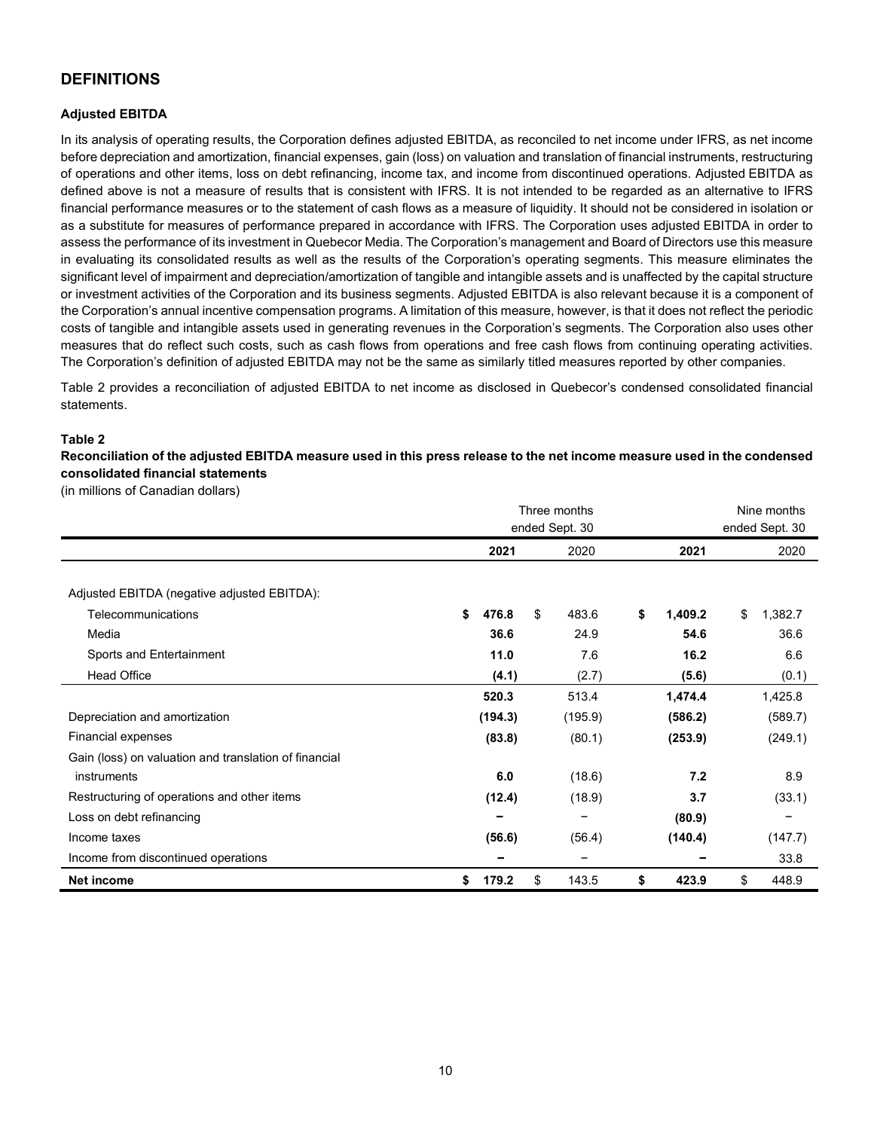## **DEFINITIONS**

#### **Adjusted EBITDA**

In its analysis of operating results, the Corporation defines adjusted EBITDA, as reconciled to net income under IFRS, as net income before depreciation and amortization, financial expenses, gain (loss) on valuation and translation of financial instruments, restructuring of operations and other items, loss on debt refinancing, income tax, and income from discontinued operations. Adjusted EBITDA as defined above is not a measure of results that is consistent with IFRS. It is not intended to be regarded as an alternative to IFRS financial performance measures or to the statement of cash flows as a measure of liquidity. It should not be considered in isolation or as a substitute for measures of performance prepared in accordance with IFRS. The Corporation uses adjusted EBITDA in order to assess the performance of its investment in Quebecor Media. The Corporation's management and Board of Directors use this measure in evaluating its consolidated results as well as the results of the Corporation's operating segments. This measure eliminates the significant level of impairment and depreciation/amortization of tangible and intangible assets and is unaffected by the capital structure or investment activities of the Corporation and its business segments. Adjusted EBITDA is also relevant because it is a component of the Corporation's annual incentive compensation programs. A limitation of this measure, however, is that it does not reflect the periodic costs of tangible and intangible assets used in generating revenues in the Corporation's segments. The Corporation also uses other measures that do reflect such costs, such as cash flows from operations and free cash flows from continuing operating activities. The Corporation's definition of adjusted EBITDA may not be the same as similarly titled measures reported by other companies.

Table 2 provides a reconciliation of adjusted EBITDA to net income as disclosed in Quebecor's condensed consolidated financial statements.

#### **Table 2**

**Reconciliation of the adjusted EBITDA measure used in this press release to the net income measure used in the condensed consolidated financial statements**

(in millions of Canadian dollars)

|                                                       |                   | Three months<br>ended Sept. 30 | Nine months<br>ended Sept. 30 |               |  |  |  |
|-------------------------------------------------------|-------------------|--------------------------------|-------------------------------|---------------|--|--|--|
|                                                       |                   |                                |                               |               |  |  |  |
|                                                       | 2021              | 2020                           | 2021                          | 2020          |  |  |  |
|                                                       |                   |                                |                               |               |  |  |  |
| Adjusted EBITDA (negative adjusted EBITDA):           |                   |                                |                               |               |  |  |  |
| Telecommunications                                    | \$<br>476.8<br>\$ | 483.6                          | \$<br>1,409.2                 | \$<br>1,382.7 |  |  |  |
| Media                                                 | 36.6              | 24.9                           | 54.6                          | 36.6          |  |  |  |
| Sports and Entertainment                              | 11.0              | 7.6                            | 16.2                          | 6.6           |  |  |  |
| <b>Head Office</b>                                    | (4.1)             | (2.7)                          | (5.6)                         | (0.1)         |  |  |  |
|                                                       | 520.3             | 513.4                          | 1,474.4                       | 1,425.8       |  |  |  |
| Depreciation and amortization                         | (194.3)           | (195.9)                        | (586.2)                       | (589.7)       |  |  |  |
| Financial expenses                                    | (83.8)            | (80.1)                         | (253.9)                       | (249.1)       |  |  |  |
| Gain (loss) on valuation and translation of financial |                   |                                |                               |               |  |  |  |
| instruments                                           | 6.0               | (18.6)                         | 7.2                           | 8.9           |  |  |  |
| Restructuring of operations and other items           | (12.4)            | (18.9)                         | 3.7                           | (33.1)        |  |  |  |
| Loss on debt refinancing                              |                   |                                | (80.9)                        |               |  |  |  |
| Income taxes                                          | (56.6)            | (56.4)                         | (140.4)                       | (147.7)       |  |  |  |
| Income from discontinued operations                   |                   |                                |                               | 33.8          |  |  |  |
| Net income                                            | 179.2<br>\$<br>\$ | 143.5                          | 423.9<br>\$                   | \$<br>448.9   |  |  |  |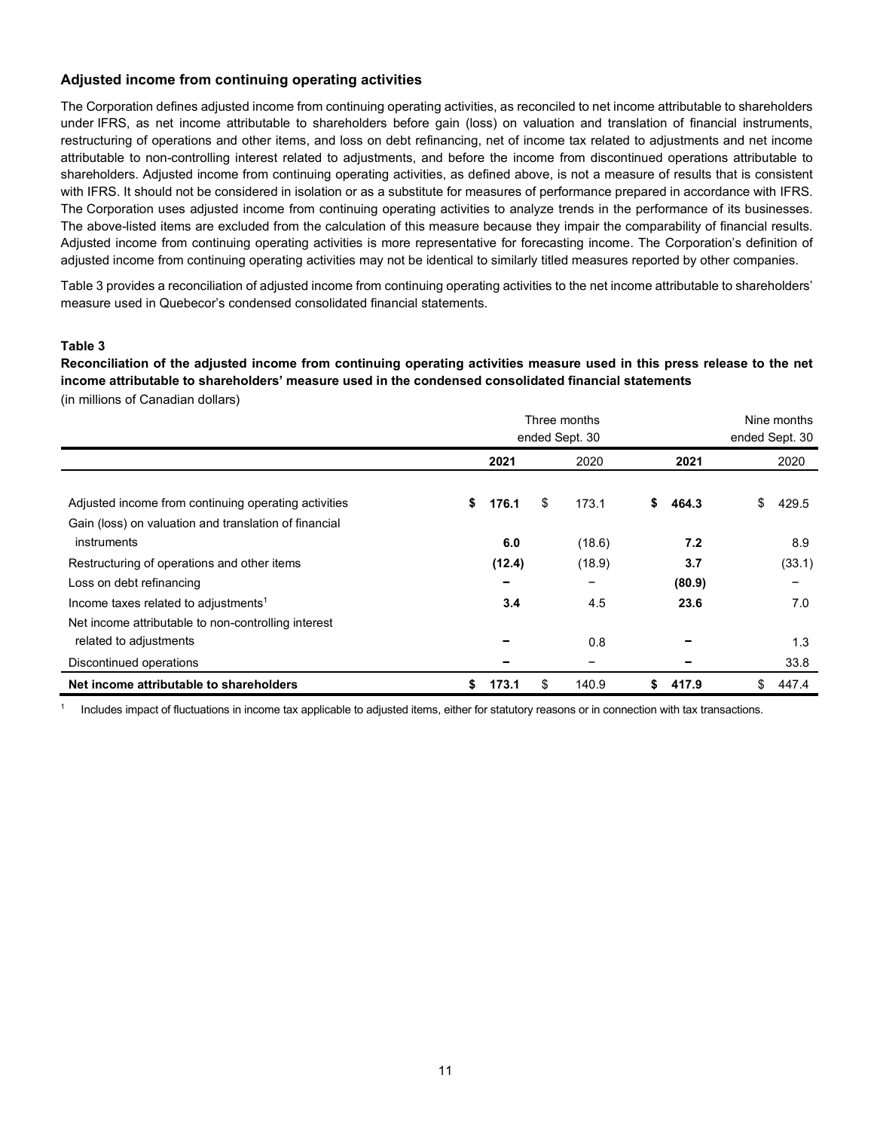### **Adjusted income from continuing operating activities**

The Corporation defines adjusted income from continuing operating activities, as reconciled to net income attributable to shareholders under IFRS, as net income attributable to shareholders before gain (loss) on valuation and translation of financial instruments, restructuring of operations and other items, and loss on debt refinancing, net of income tax related to adjustments and net income attributable to non-controlling interest related to adjustments, and before the income from discontinued operations attributable to shareholders. Adjusted income from continuing operating activities, as defined above, is not a measure of results that is consistent with IFRS. It should not be considered in isolation or as a substitute for measures of performance prepared in accordance with IFRS. The Corporation uses adjusted income from continuing operating activities to analyze trends in the performance of its businesses. The above-listed items are excluded from the calculation of this measure because they impair the comparability of financial results. Adjusted income from continuing operating activities is more representative for forecasting income. The Corporation's definition of adjusted income from continuing operating activities may not be identical to similarly titled measures reported by other companies.

Table 3 provides a reconciliation of adjusted income from continuing operating activities to the net income attributable to shareholders' measure used in Quebecor's condensed consolidated financial statements.

#### **Table 3**

**Reconciliation of the adjusted income from continuing operating activities measure used in this press release to the net income attributable to shareholders' measure used in the condensed consolidated financial statements** 

(in millions of Canadian dollars)

|                                                       |             | Three months<br>ended Sept. 30 |             | Nine months<br>ended Sept. 30 |
|-------------------------------------------------------|-------------|--------------------------------|-------------|-------------------------------|
|                                                       | 2021        | 2020                           | 2021        | 2020                          |
| Adjusted income from continuing operating activities  | \$<br>176.1 | \$<br>173.1                    | \$<br>464.3 | \$<br>429.5                   |
| Gain (loss) on valuation and translation of financial |             |                                |             |                               |
| instruments                                           | 6.0         | (18.6)                         | 7.2         | 8.9                           |
| Restructuring of operations and other items           | (12.4)      | (18.9)                         | 3.7         | (33.1)                        |
| Loss on debt refinancing                              |             | -                              | (80.9)      | -                             |
| Income taxes related to adjustments <sup>1</sup>      | 3.4         | 4.5                            | 23.6        | 7.0                           |
| Net income attributable to non-controlling interest   |             |                                |             |                               |
| related to adjustments                                |             | 0.8                            |             | 1.3                           |
| Discontinued operations                               |             | -                              |             | 33.8                          |
| Net income attributable to shareholders               | \$<br>173.1 | \$<br>140.9                    | 417.9<br>\$ | 447.4<br>\$                   |

<sup>1</sup> Includes impact of fluctuations in income tax applicable to adjusted items, either for statutory reasons or in connection with tax transactions.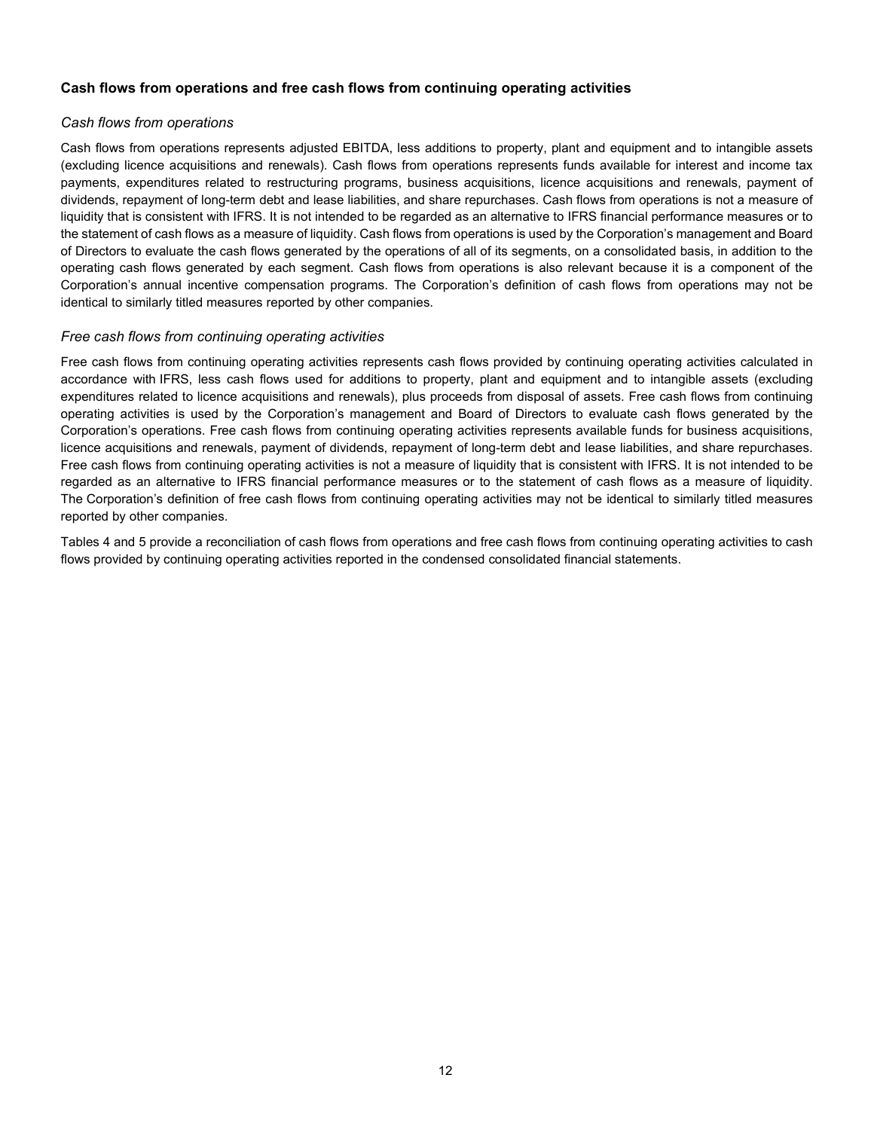#### **Cash flows from operations and free cash flows from continuing operating activities**

#### *Cash flows from operations*

Cash flows from operations represents adjusted EBITDA, less additions to property, plant and equipment and to intangible assets (excluding licence acquisitions and renewals). Cash flows from operations represents funds available for interest and income tax payments, expenditures related to restructuring programs, business acquisitions, licence acquisitions and renewals, payment of dividends, repayment of long-term debt and lease liabilities, and share repurchases. Cash flows from operations is not a measure of liquidity that is consistent with IFRS. It is not intended to be regarded as an alternative to IFRS financial performance measures or to the statement of cash flows as a measure of liquidity. Cash flows from operations is used by the Corporation's management and Board of Directors to evaluate the cash flows generated by the operations of all of its segments, on a consolidated basis, in addition to the operating cash flows generated by each segment. Cash flows from operations is also relevant because it is a component of the Corporation's annual incentive compensation programs. The Corporation's definition of cash flows from operations may not be identical to similarly titled measures reported by other companies.

#### *Free cash flows from continuing operating activities*

Free cash flows from continuing operating activities represents cash flows provided by continuing operating activities calculated in accordance with IFRS, less cash flows used for additions to property, plant and equipment and to intangible assets (excluding expenditures related to licence acquisitions and renewals), plus proceeds from disposal of assets. Free cash flows from continuing operating activities is used by the Corporation's management and Board of Directors to evaluate cash flows generated by the Corporation's operations. Free cash flows from continuing operating activities represents available funds for business acquisitions, licence acquisitions and renewals, payment of dividends, repayment of long-term debt and lease liabilities, and share repurchases. Free cash flows from continuing operating activities is not a measure of liquidity that is consistent with IFRS. It is not intended to be regarded as an alternative to IFRS financial performance measures or to the statement of cash flows as a measure of liquidity. The Corporation's definition of free cash flows from continuing operating activities may not be identical to similarly titled measures reported by other companies.

Tables 4 and 5 provide a reconciliation of cash flows from operations and free cash flows from continuing operating activities to cash flows provided by continuing operating activities reported in the condensed consolidated financial statements.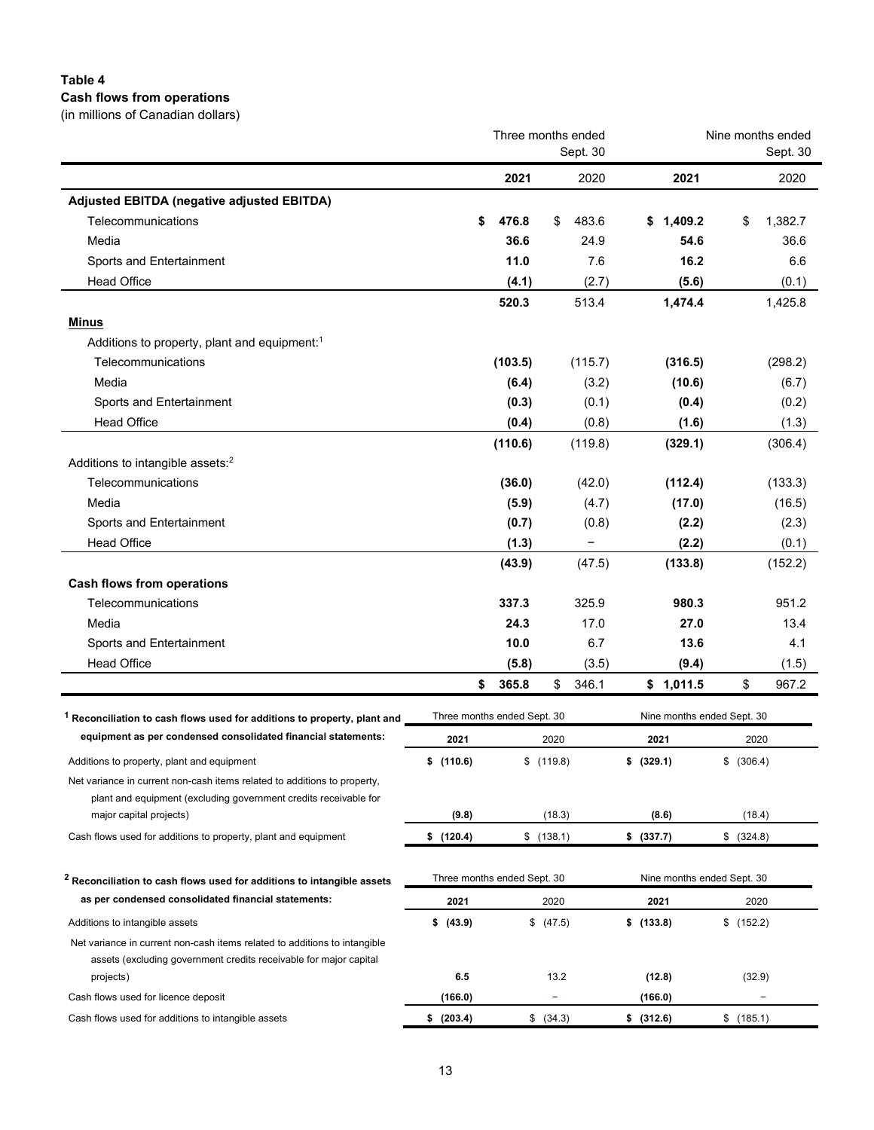### **Table 4 Cash flows from operations**

(in millions of Canadian dollars)

| 2021<br>2020<br>2021<br>Adjusted EBITDA (negative adjusted EBITDA)<br>Telecommunications<br>476.8<br>483.6<br>1,409.2<br>\$<br>\$<br>\$<br>S<br>Media<br>36.6<br>24.9<br>54.6<br>11.0<br>7.6<br>16.2<br>Sports and Entertainment<br><b>Head Office</b><br>(4.1)<br>(2.7)<br>(5.6)<br>513.4<br>1,474.4<br>520.3<br><b>Minus</b><br>Additions to property, plant and equipment: <sup>1</sup><br>Telecommunications<br>(103.5)<br>(115.7)<br>(316.5)<br>Media<br>(3.2)<br>(6.4)<br>(10.6)<br>Sports and Entertainment<br>(0.3)<br>(0.1)<br>(0.4)<br><b>Head Office</b><br>(0.4)<br>(0.8)<br>(1.6)<br>(110.6)<br>(119.8)<br>(329.1)<br>Additions to intangible assets: <sup>2</sup><br>Telecommunications<br>(36.0)<br>(42.0)<br>(112.4)<br>Media<br>(5.9)<br>(4.7)<br>(17.0)<br>Sports and Entertainment<br>(0.7)<br>(0.8)<br>(2.2)<br><b>Head Office</b><br>(1.3)<br>(2.2)<br>(133.8)<br>(43.9)<br>(47.5)<br><b>Cash flows from operations</b><br>337.3<br>Telecommunications<br>325.9<br>980.3<br>Media<br>24.3<br>17.0<br>27.0<br>10.0<br>6.7<br>13.6<br>4.1<br>Sports and Entertainment<br><b>Head Office</b><br>(3.5)<br>(9.4)<br>(5.8)<br>\$<br>365.8<br>\$<br>346.1<br>\$1,011.5<br>\$<br>Three months ended Sept. 30<br>Nine months ended Sept. 30<br><sup>1</sup> Reconciliation to cash flows used for additions to property, plant and<br>equipment as per condensed consolidated financial statements:<br>2021<br>2020<br>2021<br>2020<br>\$(110.6)<br>\$ (329.1)<br>\$ (306.4)<br>\$(119.8)<br>Additions to property, plant and equipment<br>Net variance in current non-cash items related to additions to property,<br>plant and equipment (excluding government credits receivable for<br>(18.3)<br>(8.6)<br>(18.4)<br>major capital projects)<br>(9.8)<br>Cash flows used for additions to property, plant and equipment<br>\$(120.4)<br>\$(138.1)<br>\$ (337.7)<br>\$ (324.8)<br>Three months ended Sept. 30<br>Nine months ended Sept. 30<br><sup>2</sup> Reconciliation to cash flows used for additions to intangible assets<br>as per condensed consolidated financial statements:<br>2021<br>2020<br>2021<br>2020<br>\$ (47.5)<br>\$(133.8)<br>\$ (43.9)<br>\$ (152.2)<br>Additions to intangible assets<br>Net variance in current non-cash items related to additions to intangible<br>assets (excluding government credits receivable for major capital<br>6.5<br>13.2<br>(12.8)<br>(32.9)<br>projects)<br>Cash flows used for licence deposit<br>(166.0)<br>(166.0)<br>÷<br>\$ (203.4)<br>Cash flows used for additions to intangible assets<br>\$ (34.3)<br>\$ (312.6)<br>\$(185.1) |  | Three months ended | Nine months ended<br>Sept. 30 |         |
|--------------------------------------------------------------------------------------------------------------------------------------------------------------------------------------------------------------------------------------------------------------------------------------------------------------------------------------------------------------------------------------------------------------------------------------------------------------------------------------------------------------------------------------------------------------------------------------------------------------------------------------------------------------------------------------------------------------------------------------------------------------------------------------------------------------------------------------------------------------------------------------------------------------------------------------------------------------------------------------------------------------------------------------------------------------------------------------------------------------------------------------------------------------------------------------------------------------------------------------------------------------------------------------------------------------------------------------------------------------------------------------------------------------------------------------------------------------------------------------------------------------------------------------------------------------------------------------------------------------------------------------------------------------------------------------------------------------------------------------------------------------------------------------------------------------------------------------------------------------------------------------------------------------------------------------------------------------------------------------------------------------------------------------------------------------------------------------------------------------------------------------------------------------------------------------------------------------------------------------------------------------------------------------------------------------------------------------------------------------------------------------------------------------------------------------------------------------------------------------------------------------------------------------------------------------------------------------------------------------|--|--------------------|-------------------------------|---------|
|                                                                                                                                                                                                                                                                                                                                                                                                                                                                                                                                                                                                                                                                                                                                                                                                                                                                                                                                                                                                                                                                                                                                                                                                                                                                                                                                                                                                                                                                                                                                                                                                                                                                                                                                                                                                                                                                                                                                                                                                                                                                                                                                                                                                                                                                                                                                                                                                                                                                                                                                                                                                              |  |                    |                               | 2020    |
|                                                                                                                                                                                                                                                                                                                                                                                                                                                                                                                                                                                                                                                                                                                                                                                                                                                                                                                                                                                                                                                                                                                                                                                                                                                                                                                                                                                                                                                                                                                                                                                                                                                                                                                                                                                                                                                                                                                                                                                                                                                                                                                                                                                                                                                                                                                                                                                                                                                                                                                                                                                                              |  |                    |                               |         |
|                                                                                                                                                                                                                                                                                                                                                                                                                                                                                                                                                                                                                                                                                                                                                                                                                                                                                                                                                                                                                                                                                                                                                                                                                                                                                                                                                                                                                                                                                                                                                                                                                                                                                                                                                                                                                                                                                                                                                                                                                                                                                                                                                                                                                                                                                                                                                                                                                                                                                                                                                                                                              |  |                    |                               | 1,382.7 |
|                                                                                                                                                                                                                                                                                                                                                                                                                                                                                                                                                                                                                                                                                                                                                                                                                                                                                                                                                                                                                                                                                                                                                                                                                                                                                                                                                                                                                                                                                                                                                                                                                                                                                                                                                                                                                                                                                                                                                                                                                                                                                                                                                                                                                                                                                                                                                                                                                                                                                                                                                                                                              |  |                    |                               | 36.6    |
|                                                                                                                                                                                                                                                                                                                                                                                                                                                                                                                                                                                                                                                                                                                                                                                                                                                                                                                                                                                                                                                                                                                                                                                                                                                                                                                                                                                                                                                                                                                                                                                                                                                                                                                                                                                                                                                                                                                                                                                                                                                                                                                                                                                                                                                                                                                                                                                                                                                                                                                                                                                                              |  |                    |                               | 6.6     |
|                                                                                                                                                                                                                                                                                                                                                                                                                                                                                                                                                                                                                                                                                                                                                                                                                                                                                                                                                                                                                                                                                                                                                                                                                                                                                                                                                                                                                                                                                                                                                                                                                                                                                                                                                                                                                                                                                                                                                                                                                                                                                                                                                                                                                                                                                                                                                                                                                                                                                                                                                                                                              |  |                    |                               | (0.1)   |
|                                                                                                                                                                                                                                                                                                                                                                                                                                                                                                                                                                                                                                                                                                                                                                                                                                                                                                                                                                                                                                                                                                                                                                                                                                                                                                                                                                                                                                                                                                                                                                                                                                                                                                                                                                                                                                                                                                                                                                                                                                                                                                                                                                                                                                                                                                                                                                                                                                                                                                                                                                                                              |  |                    |                               | 1,425.8 |
|                                                                                                                                                                                                                                                                                                                                                                                                                                                                                                                                                                                                                                                                                                                                                                                                                                                                                                                                                                                                                                                                                                                                                                                                                                                                                                                                                                                                                                                                                                                                                                                                                                                                                                                                                                                                                                                                                                                                                                                                                                                                                                                                                                                                                                                                                                                                                                                                                                                                                                                                                                                                              |  |                    |                               |         |
|                                                                                                                                                                                                                                                                                                                                                                                                                                                                                                                                                                                                                                                                                                                                                                                                                                                                                                                                                                                                                                                                                                                                                                                                                                                                                                                                                                                                                                                                                                                                                                                                                                                                                                                                                                                                                                                                                                                                                                                                                                                                                                                                                                                                                                                                                                                                                                                                                                                                                                                                                                                                              |  |                    |                               |         |
|                                                                                                                                                                                                                                                                                                                                                                                                                                                                                                                                                                                                                                                                                                                                                                                                                                                                                                                                                                                                                                                                                                                                                                                                                                                                                                                                                                                                                                                                                                                                                                                                                                                                                                                                                                                                                                                                                                                                                                                                                                                                                                                                                                                                                                                                                                                                                                                                                                                                                                                                                                                                              |  |                    |                               | (298.2) |
|                                                                                                                                                                                                                                                                                                                                                                                                                                                                                                                                                                                                                                                                                                                                                                                                                                                                                                                                                                                                                                                                                                                                                                                                                                                                                                                                                                                                                                                                                                                                                                                                                                                                                                                                                                                                                                                                                                                                                                                                                                                                                                                                                                                                                                                                                                                                                                                                                                                                                                                                                                                                              |  |                    |                               | (6.7)   |
|                                                                                                                                                                                                                                                                                                                                                                                                                                                                                                                                                                                                                                                                                                                                                                                                                                                                                                                                                                                                                                                                                                                                                                                                                                                                                                                                                                                                                                                                                                                                                                                                                                                                                                                                                                                                                                                                                                                                                                                                                                                                                                                                                                                                                                                                                                                                                                                                                                                                                                                                                                                                              |  |                    |                               | (0.2)   |
|                                                                                                                                                                                                                                                                                                                                                                                                                                                                                                                                                                                                                                                                                                                                                                                                                                                                                                                                                                                                                                                                                                                                                                                                                                                                                                                                                                                                                                                                                                                                                                                                                                                                                                                                                                                                                                                                                                                                                                                                                                                                                                                                                                                                                                                                                                                                                                                                                                                                                                                                                                                                              |  |                    |                               | (1.3)   |
|                                                                                                                                                                                                                                                                                                                                                                                                                                                                                                                                                                                                                                                                                                                                                                                                                                                                                                                                                                                                                                                                                                                                                                                                                                                                                                                                                                                                                                                                                                                                                                                                                                                                                                                                                                                                                                                                                                                                                                                                                                                                                                                                                                                                                                                                                                                                                                                                                                                                                                                                                                                                              |  |                    |                               | (306.4) |
|                                                                                                                                                                                                                                                                                                                                                                                                                                                                                                                                                                                                                                                                                                                                                                                                                                                                                                                                                                                                                                                                                                                                                                                                                                                                                                                                                                                                                                                                                                                                                                                                                                                                                                                                                                                                                                                                                                                                                                                                                                                                                                                                                                                                                                                                                                                                                                                                                                                                                                                                                                                                              |  |                    |                               |         |
|                                                                                                                                                                                                                                                                                                                                                                                                                                                                                                                                                                                                                                                                                                                                                                                                                                                                                                                                                                                                                                                                                                                                                                                                                                                                                                                                                                                                                                                                                                                                                                                                                                                                                                                                                                                                                                                                                                                                                                                                                                                                                                                                                                                                                                                                                                                                                                                                                                                                                                                                                                                                              |  |                    |                               | (133.3) |
|                                                                                                                                                                                                                                                                                                                                                                                                                                                                                                                                                                                                                                                                                                                                                                                                                                                                                                                                                                                                                                                                                                                                                                                                                                                                                                                                                                                                                                                                                                                                                                                                                                                                                                                                                                                                                                                                                                                                                                                                                                                                                                                                                                                                                                                                                                                                                                                                                                                                                                                                                                                                              |  |                    |                               | (16.5)  |
|                                                                                                                                                                                                                                                                                                                                                                                                                                                                                                                                                                                                                                                                                                                                                                                                                                                                                                                                                                                                                                                                                                                                                                                                                                                                                                                                                                                                                                                                                                                                                                                                                                                                                                                                                                                                                                                                                                                                                                                                                                                                                                                                                                                                                                                                                                                                                                                                                                                                                                                                                                                                              |  |                    |                               | (2.3)   |
|                                                                                                                                                                                                                                                                                                                                                                                                                                                                                                                                                                                                                                                                                                                                                                                                                                                                                                                                                                                                                                                                                                                                                                                                                                                                                                                                                                                                                                                                                                                                                                                                                                                                                                                                                                                                                                                                                                                                                                                                                                                                                                                                                                                                                                                                                                                                                                                                                                                                                                                                                                                                              |  |                    |                               | (0.1)   |
|                                                                                                                                                                                                                                                                                                                                                                                                                                                                                                                                                                                                                                                                                                                                                                                                                                                                                                                                                                                                                                                                                                                                                                                                                                                                                                                                                                                                                                                                                                                                                                                                                                                                                                                                                                                                                                                                                                                                                                                                                                                                                                                                                                                                                                                                                                                                                                                                                                                                                                                                                                                                              |  |                    |                               | (152.2) |
|                                                                                                                                                                                                                                                                                                                                                                                                                                                                                                                                                                                                                                                                                                                                                                                                                                                                                                                                                                                                                                                                                                                                                                                                                                                                                                                                                                                                                                                                                                                                                                                                                                                                                                                                                                                                                                                                                                                                                                                                                                                                                                                                                                                                                                                                                                                                                                                                                                                                                                                                                                                                              |  |                    |                               |         |
|                                                                                                                                                                                                                                                                                                                                                                                                                                                                                                                                                                                                                                                                                                                                                                                                                                                                                                                                                                                                                                                                                                                                                                                                                                                                                                                                                                                                                                                                                                                                                                                                                                                                                                                                                                                                                                                                                                                                                                                                                                                                                                                                                                                                                                                                                                                                                                                                                                                                                                                                                                                                              |  |                    |                               | 951.2   |
|                                                                                                                                                                                                                                                                                                                                                                                                                                                                                                                                                                                                                                                                                                                                                                                                                                                                                                                                                                                                                                                                                                                                                                                                                                                                                                                                                                                                                                                                                                                                                                                                                                                                                                                                                                                                                                                                                                                                                                                                                                                                                                                                                                                                                                                                                                                                                                                                                                                                                                                                                                                                              |  |                    |                               | 13.4    |
|                                                                                                                                                                                                                                                                                                                                                                                                                                                                                                                                                                                                                                                                                                                                                                                                                                                                                                                                                                                                                                                                                                                                                                                                                                                                                                                                                                                                                                                                                                                                                                                                                                                                                                                                                                                                                                                                                                                                                                                                                                                                                                                                                                                                                                                                                                                                                                                                                                                                                                                                                                                                              |  |                    |                               |         |
|                                                                                                                                                                                                                                                                                                                                                                                                                                                                                                                                                                                                                                                                                                                                                                                                                                                                                                                                                                                                                                                                                                                                                                                                                                                                                                                                                                                                                                                                                                                                                                                                                                                                                                                                                                                                                                                                                                                                                                                                                                                                                                                                                                                                                                                                                                                                                                                                                                                                                                                                                                                                              |  |                    |                               | (1.5)   |
|                                                                                                                                                                                                                                                                                                                                                                                                                                                                                                                                                                                                                                                                                                                                                                                                                                                                                                                                                                                                                                                                                                                                                                                                                                                                                                                                                                                                                                                                                                                                                                                                                                                                                                                                                                                                                                                                                                                                                                                                                                                                                                                                                                                                                                                                                                                                                                                                                                                                                                                                                                                                              |  |                    |                               | 967.2   |
|                                                                                                                                                                                                                                                                                                                                                                                                                                                                                                                                                                                                                                                                                                                                                                                                                                                                                                                                                                                                                                                                                                                                                                                                                                                                                                                                                                                                                                                                                                                                                                                                                                                                                                                                                                                                                                                                                                                                                                                                                                                                                                                                                                                                                                                                                                                                                                                                                                                                                                                                                                                                              |  |                    |                               |         |
|                                                                                                                                                                                                                                                                                                                                                                                                                                                                                                                                                                                                                                                                                                                                                                                                                                                                                                                                                                                                                                                                                                                                                                                                                                                                                                                                                                                                                                                                                                                                                                                                                                                                                                                                                                                                                                                                                                                                                                                                                                                                                                                                                                                                                                                                                                                                                                                                                                                                                                                                                                                                              |  |                    |                               |         |
|                                                                                                                                                                                                                                                                                                                                                                                                                                                                                                                                                                                                                                                                                                                                                                                                                                                                                                                                                                                                                                                                                                                                                                                                                                                                                                                                                                                                                                                                                                                                                                                                                                                                                                                                                                                                                                                                                                                                                                                                                                                                                                                                                                                                                                                                                                                                                                                                                                                                                                                                                                                                              |  |                    |                               |         |
|                                                                                                                                                                                                                                                                                                                                                                                                                                                                                                                                                                                                                                                                                                                                                                                                                                                                                                                                                                                                                                                                                                                                                                                                                                                                                                                                                                                                                                                                                                                                                                                                                                                                                                                                                                                                                                                                                                                                                                                                                                                                                                                                                                                                                                                                                                                                                                                                                                                                                                                                                                                                              |  |                    |                               |         |
|                                                                                                                                                                                                                                                                                                                                                                                                                                                                                                                                                                                                                                                                                                                                                                                                                                                                                                                                                                                                                                                                                                                                                                                                                                                                                                                                                                                                                                                                                                                                                                                                                                                                                                                                                                                                                                                                                                                                                                                                                                                                                                                                                                                                                                                                                                                                                                                                                                                                                                                                                                                                              |  |                    |                               |         |
|                                                                                                                                                                                                                                                                                                                                                                                                                                                                                                                                                                                                                                                                                                                                                                                                                                                                                                                                                                                                                                                                                                                                                                                                                                                                                                                                                                                                                                                                                                                                                                                                                                                                                                                                                                                                                                                                                                                                                                                                                                                                                                                                                                                                                                                                                                                                                                                                                                                                                                                                                                                                              |  |                    |                               |         |
|                                                                                                                                                                                                                                                                                                                                                                                                                                                                                                                                                                                                                                                                                                                                                                                                                                                                                                                                                                                                                                                                                                                                                                                                                                                                                                                                                                                                                                                                                                                                                                                                                                                                                                                                                                                                                                                                                                                                                                                                                                                                                                                                                                                                                                                                                                                                                                                                                                                                                                                                                                                                              |  |                    |                               |         |
|                                                                                                                                                                                                                                                                                                                                                                                                                                                                                                                                                                                                                                                                                                                                                                                                                                                                                                                                                                                                                                                                                                                                                                                                                                                                                                                                                                                                                                                                                                                                                                                                                                                                                                                                                                                                                                                                                                                                                                                                                                                                                                                                                                                                                                                                                                                                                                                                                                                                                                                                                                                                              |  |                    |                               |         |
|                                                                                                                                                                                                                                                                                                                                                                                                                                                                                                                                                                                                                                                                                                                                                                                                                                                                                                                                                                                                                                                                                                                                                                                                                                                                                                                                                                                                                                                                                                                                                                                                                                                                                                                                                                                                                                                                                                                                                                                                                                                                                                                                                                                                                                                                                                                                                                                                                                                                                                                                                                                                              |  |                    |                               |         |
|                                                                                                                                                                                                                                                                                                                                                                                                                                                                                                                                                                                                                                                                                                                                                                                                                                                                                                                                                                                                                                                                                                                                                                                                                                                                                                                                                                                                                                                                                                                                                                                                                                                                                                                                                                                                                                                                                                                                                                                                                                                                                                                                                                                                                                                                                                                                                                                                                                                                                                                                                                                                              |  |                    |                               |         |
|                                                                                                                                                                                                                                                                                                                                                                                                                                                                                                                                                                                                                                                                                                                                                                                                                                                                                                                                                                                                                                                                                                                                                                                                                                                                                                                                                                                                                                                                                                                                                                                                                                                                                                                                                                                                                                                                                                                                                                                                                                                                                                                                                                                                                                                                                                                                                                                                                                                                                                                                                                                                              |  |                    |                               |         |
|                                                                                                                                                                                                                                                                                                                                                                                                                                                                                                                                                                                                                                                                                                                                                                                                                                                                                                                                                                                                                                                                                                                                                                                                                                                                                                                                                                                                                                                                                                                                                                                                                                                                                                                                                                                                                                                                                                                                                                                                                                                                                                                                                                                                                                                                                                                                                                                                                                                                                                                                                                                                              |  |                    |                               |         |
|                                                                                                                                                                                                                                                                                                                                                                                                                                                                                                                                                                                                                                                                                                                                                                                                                                                                                                                                                                                                                                                                                                                                                                                                                                                                                                                                                                                                                                                                                                                                                                                                                                                                                                                                                                                                                                                                                                                                                                                                                                                                                                                                                                                                                                                                                                                                                                                                                                                                                                                                                                                                              |  |                    |                               |         |
|                                                                                                                                                                                                                                                                                                                                                                                                                                                                                                                                                                                                                                                                                                                                                                                                                                                                                                                                                                                                                                                                                                                                                                                                                                                                                                                                                                                                                                                                                                                                                                                                                                                                                                                                                                                                                                                                                                                                                                                                                                                                                                                                                                                                                                                                                                                                                                                                                                                                                                                                                                                                              |  |                    |                               |         |
|                                                                                                                                                                                                                                                                                                                                                                                                                                                                                                                                                                                                                                                                                                                                                                                                                                                                                                                                                                                                                                                                                                                                                                                                                                                                                                                                                                                                                                                                                                                                                                                                                                                                                                                                                                                                                                                                                                                                                                                                                                                                                                                                                                                                                                                                                                                                                                                                                                                                                                                                                                                                              |  |                    |                               |         |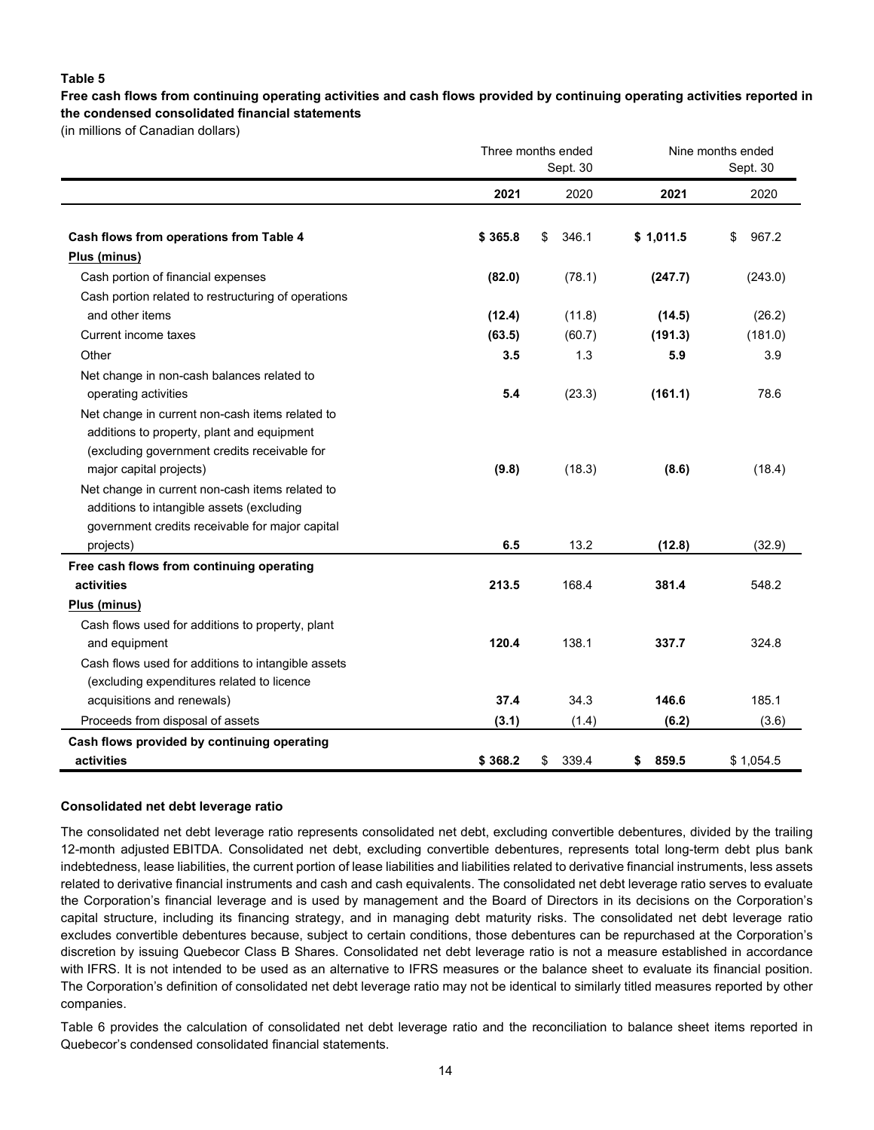#### **Table 5**

**Free cash flows from continuing operating activities and cash flows provided by continuing operating activities reported in the condensed consolidated financial statements**

(in millions of Canadian dollars)

|                                                     |         | Three months ended<br>Nine months ended<br>Sept. 30<br>Sept. 30 |             |             |  |
|-----------------------------------------------------|---------|-----------------------------------------------------------------|-------------|-------------|--|
|                                                     | 2021    | 2020                                                            | 2021        | 2020        |  |
| Cash flows from operations from Table 4             | \$365.8 | 346.1<br>\$                                                     | \$1,011.5   | \$<br>967.2 |  |
| Plus (minus)                                        |         |                                                                 |             |             |  |
| Cash portion of financial expenses                  | (82.0)  | (78.1)                                                          | (247.7)     | (243.0)     |  |
| Cash portion related to restructuring of operations |         |                                                                 |             |             |  |
| and other items                                     | (12.4)  | (11.8)                                                          | (14.5)      | (26.2)      |  |
| Current income taxes                                | (63.5)  | (60.7)                                                          | (191.3)     | (181.0)     |  |
| Other                                               | 3.5     | 1.3                                                             | 5.9         | 3.9         |  |
| Net change in non-cash balances related to          |         |                                                                 |             |             |  |
| operating activities                                | 5.4     | (23.3)                                                          | (161.1)     | 78.6        |  |
| Net change in current non-cash items related to     |         |                                                                 |             |             |  |
| additions to property, plant and equipment          |         |                                                                 |             |             |  |
| (excluding government credits receivable for        |         |                                                                 |             |             |  |
| major capital projects)                             | (9.8)   | (18.3)                                                          | (8.6)       | (18.4)      |  |
| Net change in current non-cash items related to     |         |                                                                 |             |             |  |
| additions to intangible assets (excluding           |         |                                                                 |             |             |  |
| government credits receivable for major capital     |         |                                                                 |             |             |  |
| projects)                                           | 6.5     | 13.2                                                            | (12.8)      | (32.9)      |  |
| Free cash flows from continuing operating           |         |                                                                 |             |             |  |
| activities                                          | 213.5   | 168.4                                                           | 381.4       | 548.2       |  |
| Plus (minus)                                        |         |                                                                 |             |             |  |
| Cash flows used for additions to property, plant    |         |                                                                 |             |             |  |
| and equipment                                       | 120.4   | 138.1                                                           | 337.7       | 324.8       |  |
| Cash flows used for additions to intangible assets  |         |                                                                 |             |             |  |
| (excluding expenditures related to licence          |         |                                                                 |             |             |  |
| acquisitions and renewals)                          | 37.4    | 34.3                                                            | 146.6       | 185.1       |  |
| Proceeds from disposal of assets                    | (3.1)   | (1.4)                                                           | (6.2)       | (3.6)       |  |
| Cash flows provided by continuing operating         |         |                                                                 |             |             |  |
| activities                                          | \$368.2 | 339.4<br>\$                                                     | 859.5<br>\$ | \$1,054.5   |  |

#### **Consolidated net debt leverage ratio**

The consolidated net debt leverage ratio represents consolidated net debt, excluding convertible debentures, divided by the trailing 12-month adjusted EBITDA. Consolidated net debt, excluding convertible debentures, represents total long-term debt plus bank indebtedness, lease liabilities, the current portion of lease liabilities and liabilities related to derivative financial instruments, less assets related to derivative financial instruments and cash and cash equivalents. The consolidated net debt leverage ratio serves to evaluate the Corporation's financial leverage and is used by management and the Board of Directors in its decisions on the Corporation's capital structure, including its financing strategy, and in managing debt maturity risks. The consolidated net debt leverage ratio excludes convertible debentures because, subject to certain conditions, those debentures can be repurchased at the Corporation's discretion by issuing Quebecor Class B Shares. Consolidated net debt leverage ratio is not a measure established in accordance with IFRS. It is not intended to be used as an alternative to IFRS measures or the balance sheet to evaluate its financial position. The Corporation's definition of consolidated net debt leverage ratio may not be identical to similarly titled measures reported by other companies.

Table 6 provides the calculation of consolidated net debt leverage ratio and the reconciliation to balance sheet items reported in Quebecor's condensed consolidated financial statements.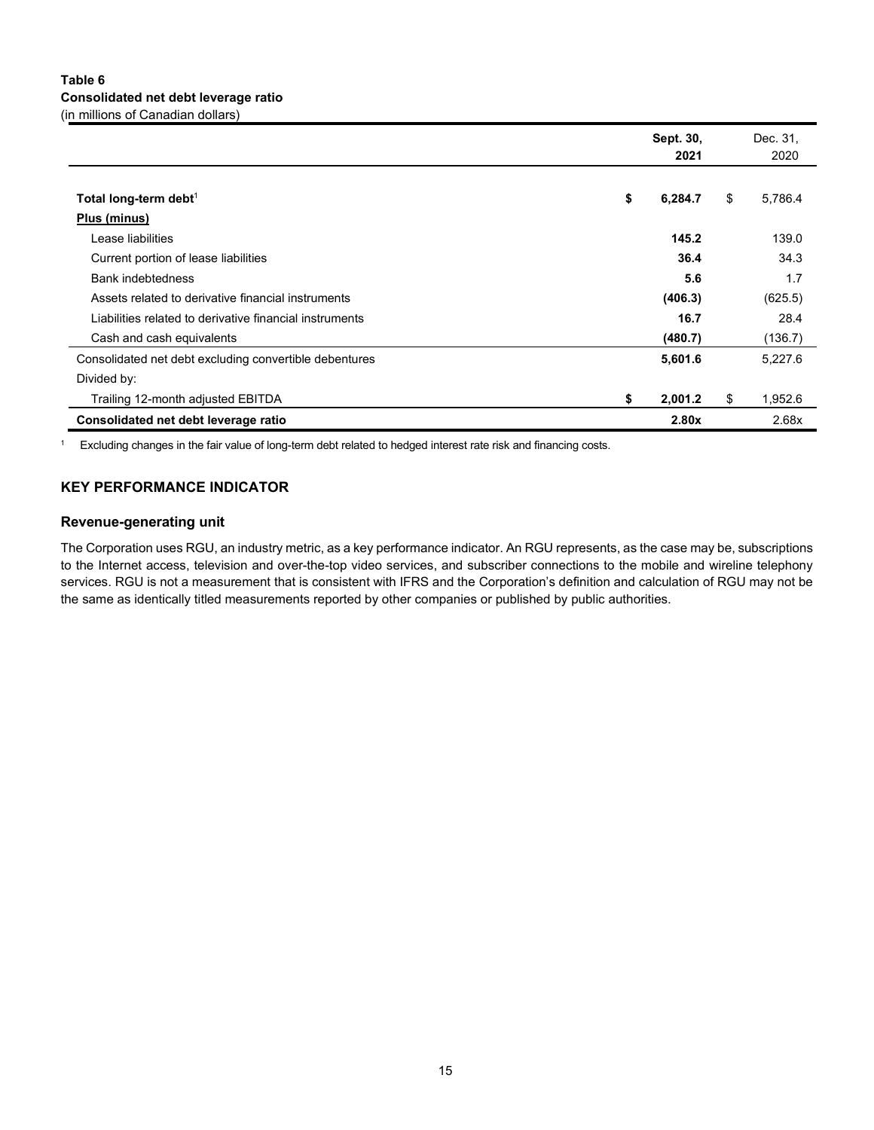#### **Table 6 Consolidated net debt leverage ratio** (in millions of Canadian dollars)

|                                                         | Sept. 30,<br>2021 | Dec. 31,<br>2020 |
|---------------------------------------------------------|-------------------|------------------|
|                                                         |                   |                  |
| Total long-term debt <sup>1</sup>                       | \$<br>6,284.7     | \$<br>5,786.4    |
| Plus (minus)                                            |                   |                  |
| Lease liabilities                                       | 145.2             | 139.0            |
| Current portion of lease liabilities                    | 36.4              | 34.3             |
| <b>Bank indebtedness</b>                                | 5.6               | 1.7              |
| Assets related to derivative financial instruments      | (406.3)           | (625.5)          |
| Liabilities related to derivative financial instruments | 16.7              | 28.4             |
| Cash and cash equivalents                               | (480.7)           | (136.7)          |
| Consolidated net debt excluding convertible debentures  | 5,601.6           | 5,227.6          |
| Divided by:                                             |                   |                  |
| Trailing 12-month adjusted EBITDA                       | \$<br>2,001.2     | \$<br>1,952.6    |
| Consolidated net debt leverage ratio                    | 2.80x             | 2.68x            |

<sup>1</sup> Excluding changes in the fair value of long-term debt related to hedged interest rate risk and financing costs.

### **KEY PERFORMANCE INDICATOR**

#### **Revenue-generating unit**

The Corporation uses RGU, an industry metric, as a key performance indicator. An RGU represents, as the case may be, subscriptions to the Internet access, television and over-the-top video services, and subscriber connections to the mobile and wireline telephony services. RGU is not a measurement that is consistent with IFRS and the Corporation's definition and calculation of RGU may not be the same as identically titled measurements reported by other companies or published by public authorities.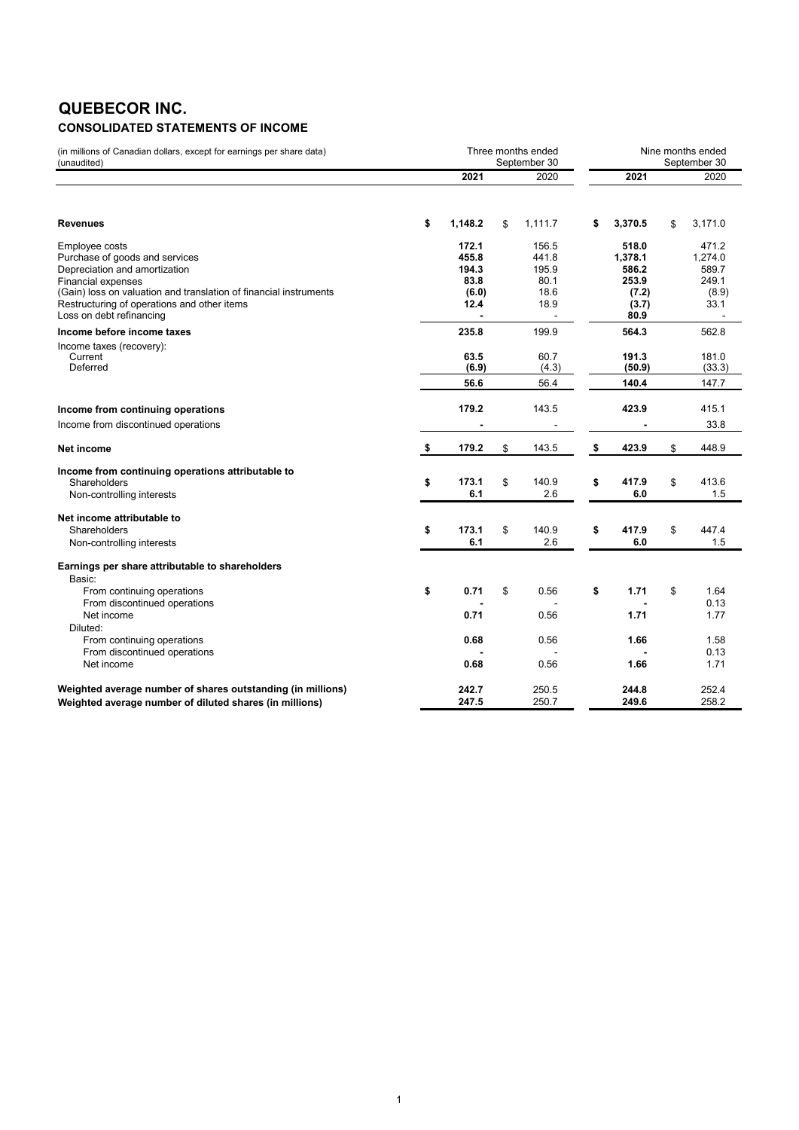# **QUEBECOR INC.**

## **CONSOLIDATED STATEMENTS OF INCOME**

| (in millions of Canadian dollars, except for earnings per share data)<br>(unaudited)                                                                                                                                                                           | Three months ended<br>September 30 |                                                  |    |                                                 |    | Nine months ended<br>September 30                            |    |                                                     |  |  |
|----------------------------------------------------------------------------------------------------------------------------------------------------------------------------------------------------------------------------------------------------------------|------------------------------------|--------------------------------------------------|----|-------------------------------------------------|----|--------------------------------------------------------------|----|-----------------------------------------------------|--|--|
|                                                                                                                                                                                                                                                                |                                    | 2021                                             |    | 2020                                            |    | 2021                                                         |    | 2020                                                |  |  |
| <b>Revenues</b>                                                                                                                                                                                                                                                | \$                                 | 1,148.2                                          | \$ | 1.111.7                                         | \$ | 3,370.5                                                      | \$ | 3,171.0                                             |  |  |
| Employee costs<br>Purchase of goods and services<br>Depreciation and amortization<br><b>Financial expenses</b><br>(Gain) loss on valuation and translation of financial instruments<br>Restructuring of operations and other items<br>Loss on debt refinancing |                                    | 172.1<br>455.8<br>194.3<br>83.8<br>(6.0)<br>12.4 |    | 156.5<br>441.8<br>195.9<br>80.1<br>18.6<br>18.9 |    | 518.0<br>1,378.1<br>586.2<br>253.9<br>(7.2)<br>(3.7)<br>80.9 |    | 471.2<br>1,274.0<br>589.7<br>249.1<br>(8.9)<br>33.1 |  |  |
| Income before income taxes<br>Income taxes (recovery):<br>Current<br>Deferred                                                                                                                                                                                  |                                    | 235.8<br>63.5<br>(6.9)<br>56.6                   |    | 199.9<br>60.7<br>(4.3)<br>56.4                  |    | 564.3<br>191.3<br>(50.9)<br>140.4                            |    | 562.8<br>181.0<br>(33.3)<br>147.7                   |  |  |
| Income from continuing operations<br>Income from discontinued operations                                                                                                                                                                                       |                                    | 179.2                                            |    | 143.5                                           |    | 423.9                                                        |    | 415.1<br>33.8                                       |  |  |
| Net income                                                                                                                                                                                                                                                     | \$                                 | 179.2                                            | \$ | 143.5                                           | \$ | 423.9                                                        | \$ | 448.9                                               |  |  |
| Income from continuing operations attributable to<br>Shareholders<br>Non-controlling interests                                                                                                                                                                 | \$                                 | 173.1<br>6.1                                     | \$ | 140.9<br>2.6                                    | \$ | 417.9<br>6.0                                                 | \$ | 413.6<br>1.5                                        |  |  |
| Net income attributable to<br>Shareholders<br>Non-controlling interests                                                                                                                                                                                        | \$                                 | 173.1<br>6.1                                     | \$ | 140.9<br>2.6                                    | \$ | 417.9<br>6.0                                                 | \$ | 447.4<br>1.5                                        |  |  |
| Earnings per share attributable to shareholders<br>Basic:<br>From continuing operations<br>From discontinued operations<br>Net income<br>Diluted:                                                                                                              | \$                                 | 0.71<br>0.71                                     | \$ | 0.56<br>0.56                                    | \$ | 1.71<br>1.71                                                 | \$ | 1.64<br>0.13<br>1.77                                |  |  |
| From continuing operations<br>From discontinued operations<br>Net income                                                                                                                                                                                       |                                    | 0.68<br>0.68                                     |    | 0.56<br>0.56                                    |    | 1.66<br>1.66                                                 |    | 1.58<br>0.13<br>1.71                                |  |  |
| Weighted average number of shares outstanding (in millions)<br>Weighted average number of diluted shares (in millions)                                                                                                                                         |                                    | 242.7<br>247.5                                   |    | 250.5<br>250.7                                  |    | 244.8<br>249.6                                               |    | 252.4<br>258.2                                      |  |  |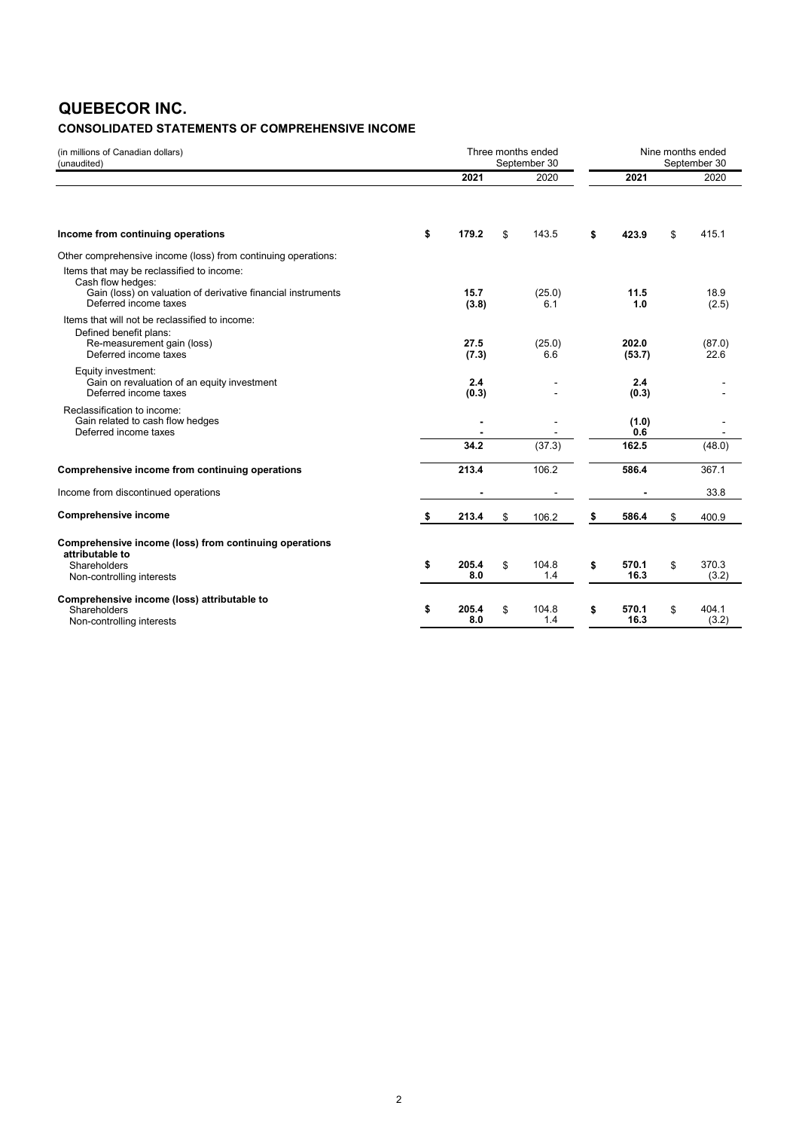# **QUEBECOR INC.**

### **CONSOLIDATED STATEMENTS OF COMPREHENSIVE INCOME**

| (in millions of Canadian dollars)<br>(unaudited)                                                           |                    | Three months ended<br>September 30 |                     |     | Nine months ended<br>September 30 |
|------------------------------------------------------------------------------------------------------------|--------------------|------------------------------------|---------------------|-----|-----------------------------------|
|                                                                                                            | 2021               | 2020                               | 2021                |     | 2020                              |
| Income from continuing operations                                                                          | \$<br>179.2        | \$<br>143.5                        | \$<br>423.9         | \$  | 415.1                             |
| Other comprehensive income (loss) from continuing operations:                                              |                    |                                    |                     |     |                                   |
| Items that may be reclassified to income:                                                                  |                    |                                    |                     |     |                                   |
| Cash flow hedges:<br>Gain (loss) on valuation of derivative financial instruments<br>Deferred income taxes | 15.7<br>(3.8)      | (25.0)<br>6.1                      | 11.5<br>1.0         |     | 18.9<br>(2.5)                     |
| Items that will not be reclassified to income:                                                             |                    |                                    |                     |     |                                   |
| Defined benefit plans:<br>Re-measurement gain (loss)<br>Deferred income taxes                              | 27.5<br>(7.3)      | (25.0)<br>6.6                      | 202.0<br>(53.7)     |     | (87.0)<br>22.6                    |
| Equity investment:<br>Gain on revaluation of an equity investment<br>Deferred income taxes                 | 2.4<br>(0.3)       |                                    | 2.4<br>(0.3)        |     |                                   |
| Reclassification to income:                                                                                |                    |                                    |                     |     |                                   |
| Gain related to cash flow hedges<br>Deferred income taxes                                                  |                    |                                    | (1.0)<br>0.6        |     |                                   |
|                                                                                                            | 34.2               | (37.3)                             | 162.5               |     | (48.0)                            |
| Comprehensive income from continuing operations                                                            | 213.4              | 106.2                              | 586.4               |     | 367.1                             |
| Income from discontinued operations                                                                        |                    |                                    |                     |     | 33.8                              |
| <b>Comprehensive income</b>                                                                                | \$<br>213.4        | \$<br>106.2                        | \$<br>586.4         | \$. | 400.9                             |
| Comprehensive income (loss) from continuing operations<br>attributable to                                  |                    |                                    |                     |     |                                   |
| Shareholders                                                                                               | \$<br>205.4        | \$<br>104.8                        | \$<br>570.1         | \$  | 370.3                             |
| Non-controlling interests                                                                                  | 8.0                | 1.4                                | 16.3                |     | (3.2)                             |
| Comprehensive income (loss) attributable to                                                                |                    |                                    |                     |     |                                   |
| Shareholders<br>Non-controlling interests                                                                  | \$<br>205.4<br>8.0 | \$<br>104.8<br>1.4                 | \$<br>570.1<br>16.3 | \$  | 404.1<br>(3.2)                    |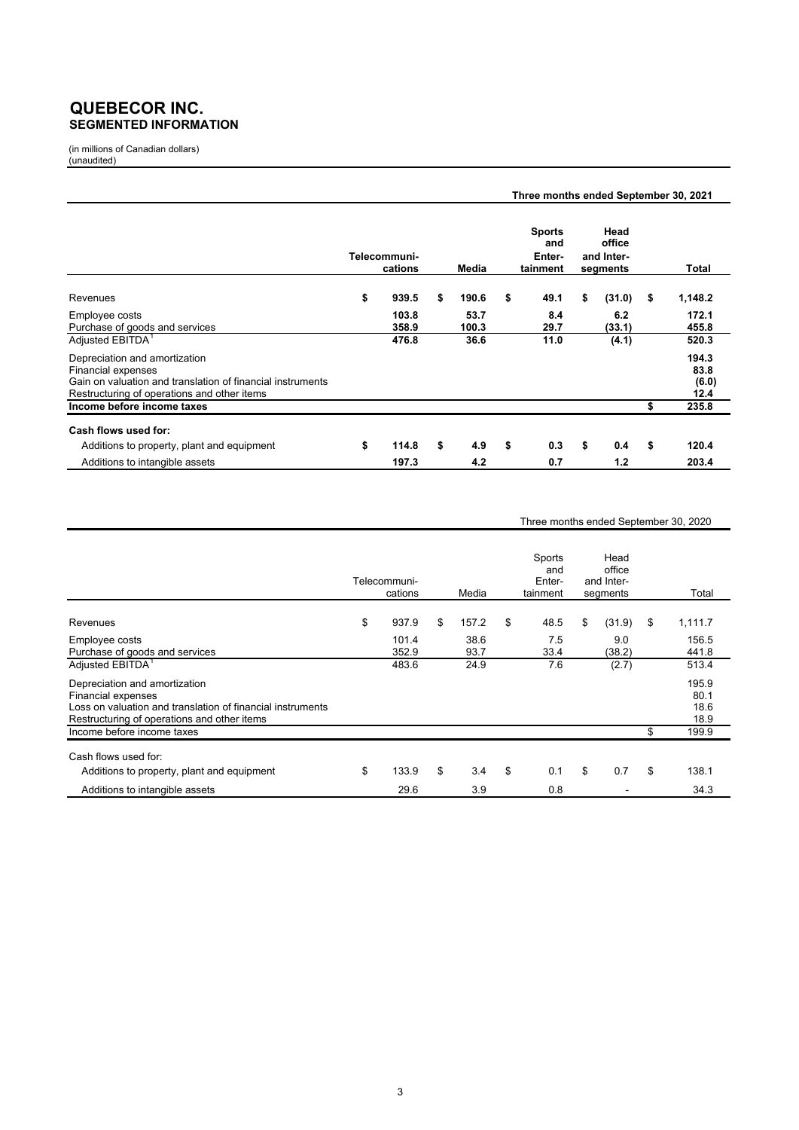### **QUEBECOR INC. SEGMENTED INFORMATION**

(in millions of Canadian dollars) (unaudited)

|                                                                                                                                                                         |                         |               | Three months ended September 30, 2021      |                                          |                                |
|-------------------------------------------------------------------------------------------------------------------------------------------------------------------------|-------------------------|---------------|--------------------------------------------|------------------------------------------|--------------------------------|
|                                                                                                                                                                         | Telecommuni-<br>cations | Media         | <b>Sports</b><br>and<br>Enter-<br>tainment | Head<br>office<br>and Inter-<br>segments | Total                          |
| Revenues                                                                                                                                                                | \$<br>939.5             | \$<br>190.6   | \$<br>49.1                                 | \$<br>(31.0)                             | \$<br>1,148.2                  |
| Employee costs<br>Purchase of goods and services                                                                                                                        | 103.8<br>358.9          | 53.7<br>100.3 | 8.4<br>29.7                                | 6.2<br>(33.1)                            | 172.1<br>455.8                 |
| Adjusted EBITDA <sup>1</sup>                                                                                                                                            | 476.8                   | 36.6          | 11.0                                       | (4.1)                                    | 520.3                          |
| Depreciation and amortization<br><b>Financial expenses</b><br>Gain on valuation and translation of financial instruments<br>Restructuring of operations and other items |                         |               |                                            |                                          | 194.3<br>83.8<br>(6.0)<br>12.4 |
| Income before income taxes                                                                                                                                              |                         |               |                                            |                                          | \$<br>235.8                    |
| Cash flows used for:<br>Additions to property, plant and equipment                                                                                                      | \$<br>114.8             | \$<br>4.9     | \$<br>0.3                                  | \$<br>0.4                                | \$<br>120.4                    |
| Additions to intangible assets                                                                                                                                          | 197.3                   | 4.2           | 0.7                                        | 1.2                                      | 203.4                          |

#### Three months ended September 30, 2020

|                                                                                                                                                                                                | Telecommuni-<br>cations | Media        | Sports<br>and<br>Enter-<br>tainment | Head<br>office<br>and Inter-<br>segments | Total                                        |
|------------------------------------------------------------------------------------------------------------------------------------------------------------------------------------------------|-------------------------|--------------|-------------------------------------|------------------------------------------|----------------------------------------------|
| Revenues                                                                                                                                                                                       | \$<br>937.9             | \$<br>157.2  | \$<br>48.5                          | \$<br>(31.9)                             | \$<br>1,111.7                                |
| Employee costs<br>Purchase of goods and services                                                                                                                                               | 101.4<br>352.9          | 38.6<br>93.7 | 7.5<br>33.4                         | 9.0<br>(38.2)                            | 156.5<br>441.8                               |
| Adjusted EBITDA <sup>1</sup>                                                                                                                                                                   | 483.6                   | 24.9         | 7.6                                 | (2.7)                                    | 513.4                                        |
| Depreciation and amortization<br>Financial expenses<br>Loss on valuation and translation of financial instruments<br>Restructuring of operations and other items<br>Income before income taxes |                         |              |                                     |                                          | \$<br>195.9<br>80.1<br>18.6<br>18.9<br>199.9 |
|                                                                                                                                                                                                |                         |              |                                     |                                          |                                              |
| Cash flows used for:                                                                                                                                                                           |                         |              |                                     |                                          |                                              |
| Additions to property, plant and equipment                                                                                                                                                     | \$<br>133.9             | \$<br>3.4    | \$<br>0.1                           | \$<br>0.7                                | \$<br>138.1                                  |
| Additions to intangible assets                                                                                                                                                                 | 29.6                    | 3.9          | 0.8                                 |                                          | 34.3                                         |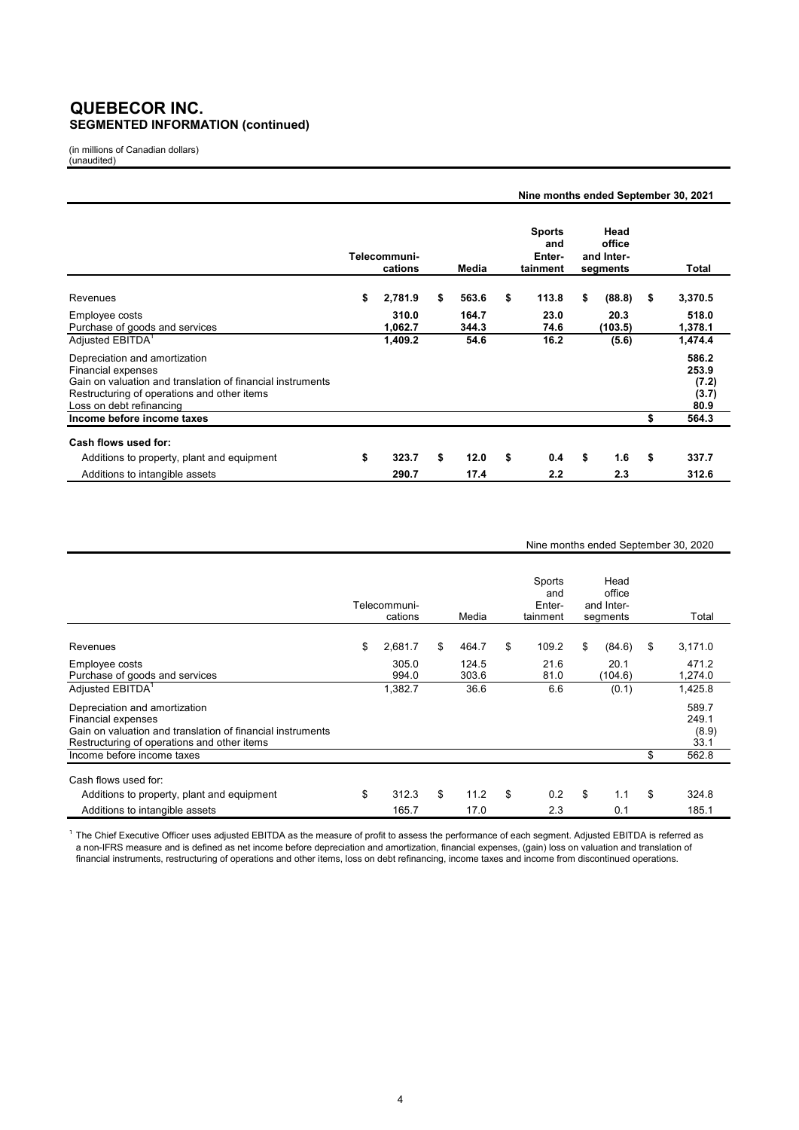### **QUEBECOR INC. SEGMENTED INFORMATION (continued)**

(in millions of Canadian dollars) (unaudited)

|                                                                                                                                                                                              |                         |                | Nine months ended September 30, 2021       |                                          |                                          |
|----------------------------------------------------------------------------------------------------------------------------------------------------------------------------------------------|-------------------------|----------------|--------------------------------------------|------------------------------------------|------------------------------------------|
|                                                                                                                                                                                              | Telecommuni-<br>cations | Media          | <b>Sports</b><br>and<br>Enter-<br>tainment | Head<br>office<br>and Inter-<br>segments | Total                                    |
| Revenues                                                                                                                                                                                     | \$<br>2,781.9           | \$<br>563.6    | \$<br>113.8                                | \$<br>(88.8)                             | \$<br>3,370.5                            |
| Employee costs<br>Purchase of goods and services                                                                                                                                             | 310.0<br>1,062.7        | 164.7<br>344.3 | 23.0<br>74.6                               | 20.3<br>(103.5)                          | 518.0<br>1,378.1                         |
| Adjusted EBITDA <sup>1</sup>                                                                                                                                                                 | 1,409.2                 | 54.6           | 16.2                                       | (5.6)                                    | 1,474.4                                  |
| Depreciation and amortization<br>Financial expenses<br>Gain on valuation and translation of financial instruments<br>Restructuring of operations and other items<br>Loss on debt refinancing |                         |                |                                            |                                          | 586.2<br>253.9<br>(7.2)<br>(3.7)<br>80.9 |
| Income before income taxes                                                                                                                                                                   |                         |                |                                            |                                          | \$<br>564.3                              |
| Cash flows used for:                                                                                                                                                                         | 323.7                   | \$<br>12.0     | \$<br>0.4                                  | \$<br>1.6                                | \$<br>337.7                              |
| Additions to property, plant and equipment<br>Additions to intangible assets                                                                                                                 | \$<br>290.7             | 17.4           | 2.2                                        | 2.3                                      | 312.6                                    |

#### Nine months ended September 30, 2020

|                                                                                                                                                                  | Telecommuni-<br>cations | Media          | Sports<br>and<br>Enter-<br>tainment | Head<br>office<br>and Inter-<br>segments | Total                           |
|------------------------------------------------------------------------------------------------------------------------------------------------------------------|-------------------------|----------------|-------------------------------------|------------------------------------------|---------------------------------|
| Revenues                                                                                                                                                         | \$<br>2,681.7           | \$<br>464.7    | \$<br>109.2                         | \$<br>(84.6)                             | \$<br>3,171.0                   |
| Employee costs<br>Purchase of goods and services                                                                                                                 | 305.0<br>994.0          | 124.5<br>303.6 | 21.6<br>81.0                        | 20.1<br>(104.6)                          | 471.2<br>1,274.0                |
| Adjusted EBITDA <sup>1</sup>                                                                                                                                     | 1,382.7                 | 36.6           | 6.6                                 | (0.1)                                    | 1,425.8                         |
| Depreciation and amortization<br>Financial expenses<br>Gain on valuation and translation of financial instruments<br>Restructuring of operations and other items |                         |                |                                     |                                          | 589.7<br>249.1<br>(8.9)<br>33.1 |
| Income before income taxes                                                                                                                                       |                         |                |                                     |                                          | \$<br>562.8                     |
| Cash flows used for:                                                                                                                                             |                         |                |                                     |                                          |                                 |
| Additions to property, plant and equipment                                                                                                                       | \$<br>312.3             | \$<br>11.2     | \$<br>0.2                           | \$<br>1.1                                | \$<br>324.8                     |
| Additions to intangible assets                                                                                                                                   | 165.7                   | 17.0           | 2.3                                 | 0.1                                      | 185.1                           |

 $^{\rm 1}$  The Chief Executive Officer uses adjusted EBITDA as the measure of profit to assess the performance of each segment. Adjusted EBITDA is referred as a non-IFRS measure and is defined as net income before depreciation and amortization, financial expenses, (gain) loss on valuation and translation of financial instruments, restructuring of operations and other items, loss on debt refinancing, income taxes and income from discontinued operations.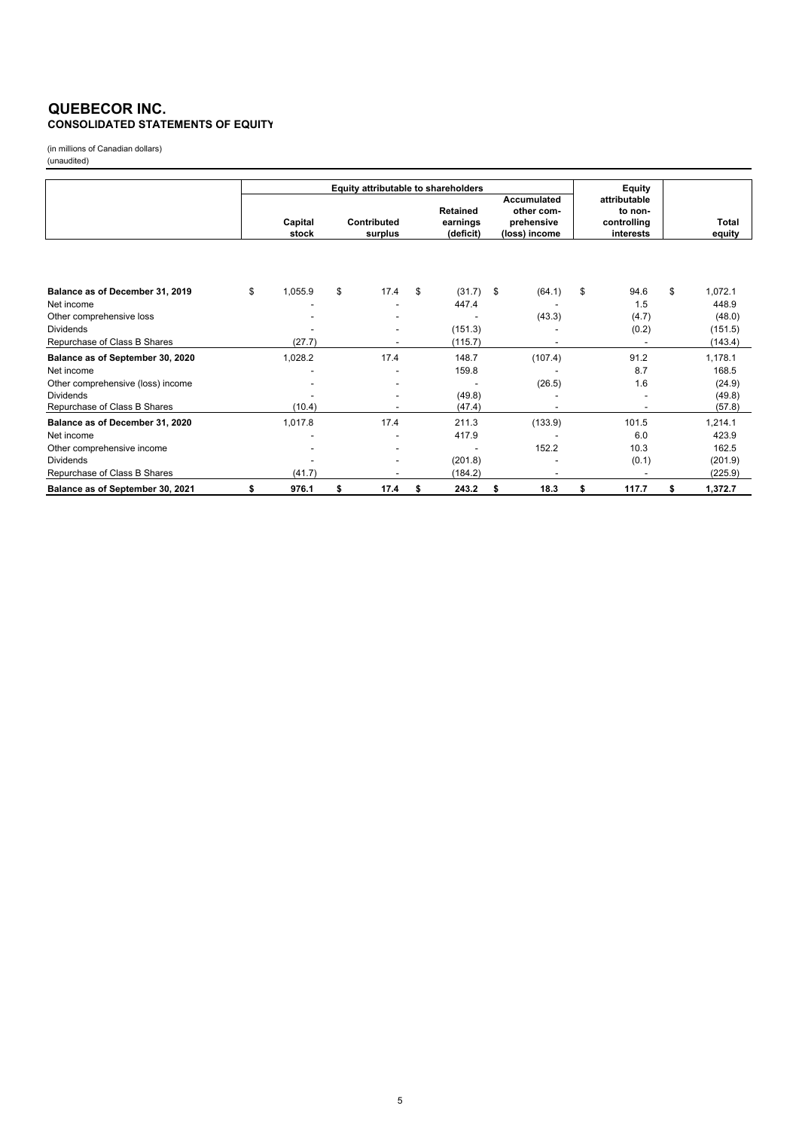### **QUEBECOR INC. CONSOLIDATED STATEMENTS OF EQUITY**

(in millions of Canadian dollars) (unaudited)

|                                                  | Equity attributable to shareholders |                        |      |    |                                   |                                                          |         |                                                     | Equity |                  |
|--------------------------------------------------|-------------------------------------|------------------------|------|----|-----------------------------------|----------------------------------------------------------|---------|-----------------------------------------------------|--------|------------------|
|                                                  | Capital<br>stock                    | Contributed<br>surplus |      |    | Retained<br>earnings<br>(deficit) | Accumulated<br>other com-<br>prehensive<br>(loss) income |         | attributable<br>to non-<br>controlling<br>interests |        | Total<br>equity  |
|                                                  | \$<br>1,055.9                       | \$                     | 17.4 | \$ | (31.7)                            | \$                                                       |         | \$                                                  | 94.6   | \$<br>1,072.1    |
| Balance as of December 31, 2019<br>Net income    |                                     |                        |      |    | 447.4                             |                                                          | (64.1)  |                                                     | 1.5    | 448.9            |
| Other comprehensive loss                         |                                     |                        |      |    |                                   |                                                          | (43.3)  |                                                     | (4.7)  | (48.0)           |
| <b>Dividends</b>                                 |                                     |                        |      |    | (151.3)                           |                                                          |         |                                                     | (0.2)  | (151.5)          |
| Repurchase of Class B Shares                     | (27.7)                              |                        |      |    | (115.7)                           |                                                          |         |                                                     |        | (143.4)          |
| Balance as of September 30, 2020                 | 1,028.2                             |                        | 17.4 |    | 148.7                             |                                                          | (107.4) |                                                     | 91.2   | 1,178.1          |
| Net income                                       |                                     |                        |      |    | 159.8                             |                                                          |         |                                                     | 8.7    | 168.5            |
| Other comprehensive (loss) income                |                                     |                        |      |    |                                   |                                                          | (26.5)  |                                                     | 1.6    | (24.9)           |
| <b>Dividends</b><br>Repurchase of Class B Shares | (10.4)                              |                        |      |    | (49.8)<br>(47.4)                  |                                                          |         |                                                     |        | (49.8)<br>(57.8) |
| Balance as of December 31, 2020                  | 1,017.8                             |                        | 17.4 |    | 211.3                             |                                                          | (133.9) |                                                     | 101.5  | 1,214.1          |
| Net income                                       |                                     |                        |      |    | 417.9                             |                                                          |         |                                                     | 6.0    | 423.9            |
| Other comprehensive income                       |                                     |                        |      |    |                                   |                                                          | 152.2   |                                                     | 10.3   | 162.5            |
| <b>Dividends</b>                                 |                                     |                        |      |    | (201.8)                           |                                                          |         |                                                     | (0.1)  | (201.9)          |
| Repurchase of Class B Shares                     | (41.7)                              |                        |      |    | (184.2)                           |                                                          |         |                                                     |        | (225.9)          |
| Balance as of September 30, 2021                 | \$<br>976.1                         | \$                     | 17.4 | \$ | 243.2                             | \$                                                       | 18.3    | \$                                                  | 117.7  | \$<br>1,372.7    |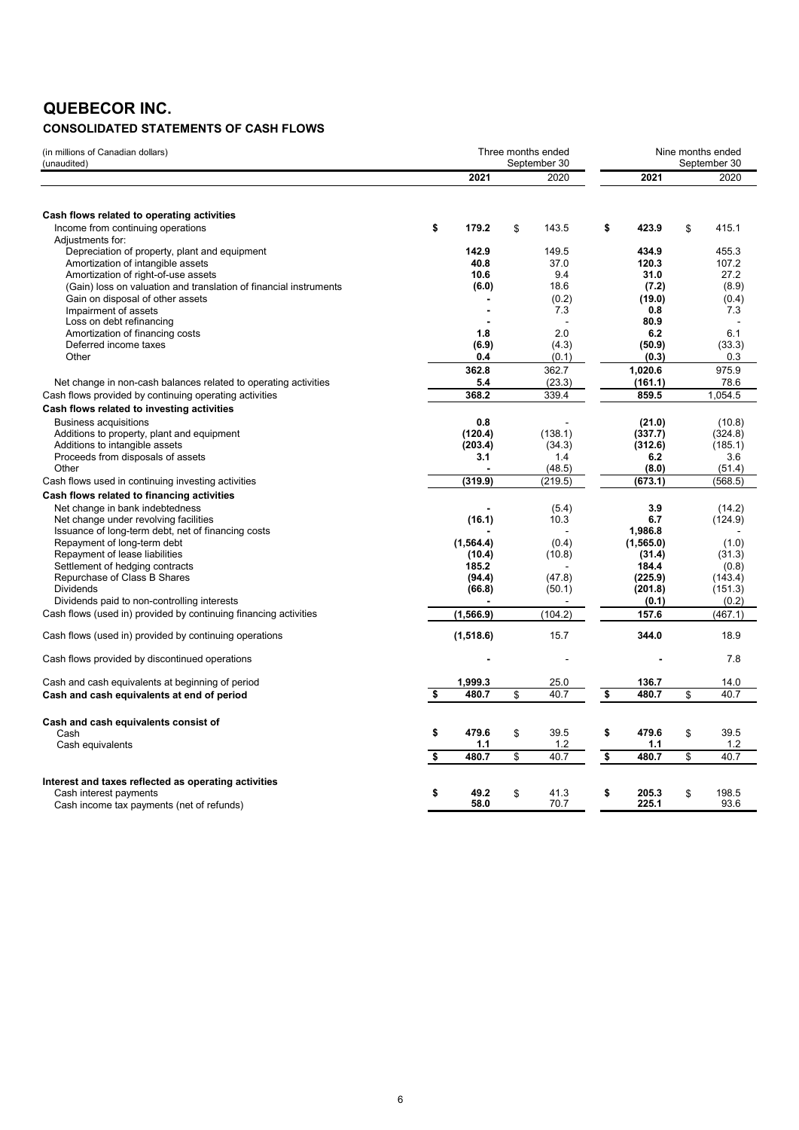# **QUEBECOR INC.**

### **CONSOLIDATED STATEMENTS OF CASH FLOWS**

| (in millions of Canadian dollars)<br>(unaudited)                  |             | Three months ended<br>September 30 |             | Nine months ended<br>September 30 |
|-------------------------------------------------------------------|-------------|------------------------------------|-------------|-----------------------------------|
|                                                                   | 2021        | 2020                               | 2021        | 2020                              |
|                                                                   |             |                                    |             |                                   |
| Cash flows related to operating activities                        |             |                                    |             |                                   |
| Income from continuing operations                                 | \$<br>179.2 | \$<br>143.5                        | \$<br>423.9 | \$<br>415.1                       |
| Adjustments for:                                                  |             |                                    |             |                                   |
| Depreciation of property, plant and equipment                     | 142.9       | 149.5                              | 434.9       | 455.3                             |
| Amortization of intangible assets                                 | 40.8        | 37.0                               | 120.3       | 107.2                             |
| Amortization of right-of-use assets                               | 10.6        | 9.4                                | 31.0        | 27.2                              |
| (Gain) loss on valuation and translation of financial instruments | (6.0)       | 18.6                               | (7.2)       | (8.9)                             |
| Gain on disposal of other assets                                  |             | (0.2)                              | (19.0)      | (0.4)                             |
| Impairment of assets                                              |             | 7.3                                | 0.8         | 7.3                               |
| Loss on debt refinancing                                          |             |                                    | 80.9        |                                   |
| Amortization of financing costs                                   | 1.8         | 2.0                                | 6.2         | 6.1                               |
| Deferred income taxes                                             | (6.9)       | (4.3)                              | (50.9)      | (33.3)                            |
| Other                                                             | 0.4         | (0.1)                              | (0.3)       | 0.3                               |
|                                                                   | 362.8       | 362.7                              | 1,020.6     | 975.9                             |
| Net change in non-cash balances related to operating activities   | 5.4         | (23.3)                             | (161.1)     | 78.6                              |
| Cash flows provided by continuing operating activities            | 368.2       | 339.4                              | 859.5       | 1,054.5                           |
| Cash flows related to investing activities                        |             |                                    |             |                                   |
| <b>Business acquisitions</b>                                      | 0.8         |                                    | (21.0)      | (10.8)                            |
| Additions to property, plant and equipment                        | (120.4)     | (138.1)                            | (337.7)     | (324.8)                           |
| Additions to intangible assets                                    | (203.4)     | (34.3)                             | (312.6)     | (185.1)                           |
| Proceeds from disposals of assets                                 | 3.1         | 1.4                                | 6.2         | 3.6                               |
| Other                                                             |             | (48.5)                             | (8.0)       | (51.4)                            |
|                                                                   |             |                                    |             |                                   |
| Cash flows used in continuing investing activities                | (319.9)     | (219.5)                            | (673.1)     | (568.5)                           |
| Cash flows related to financing activities                        |             |                                    |             |                                   |
| Net change in bank indebtedness                                   |             | (5.4)                              | 3.9         | (14.2)                            |
| Net change under revolving facilities                             | (16.1)      | 10.3                               | 6.7         | (124.9)                           |
| Issuance of long-term debt, net of financing costs                |             |                                    | 1.986.8     |                                   |
| Repayment of long-term debt                                       | (1, 564.4)  | (0.4)                              | (1,565.0)   | (1.0)                             |
| Repayment of lease liabilities                                    | (10.4)      | (10.8)                             | (31.4)      | (31.3)                            |
| Settlement of hedging contracts                                   | 185.2       |                                    | 184.4       | (0.8)                             |
| Repurchase of Class B Shares                                      | (94.4)      | (47.8)                             | (225.9)     | (143.4)                           |
| Dividends                                                         | (66.8)      | (50.1)                             | (201.8)     | (151.3)                           |
| Dividends paid to non-controlling interests                       |             |                                    | (0.1)       | (0.2)                             |
| Cash flows (used in) provided by continuing financing activities  | (1, 566.9)  | (104.2)                            | 157.6       | (467.1)                           |
| Cash flows (used in) provided by continuing operations            | (1,518.6)   | 15.7                               | 344.0       | 18.9                              |
| Cash flows provided by discontinued operations                    |             |                                    |             | 7.8                               |
|                                                                   |             |                                    |             |                                   |
| Cash and cash equivalents at beginning of period                  | 1,999.3     | 25.0                               | 136.7       | 14.0                              |
| Cash and cash equivalents at end of period                        | \$<br>480.7 | \$<br>40.7                         | \$<br>480.7 | \$<br>40.7                        |
| Cash and cash equivalents consist of                              |             |                                    |             |                                   |
| Cash                                                              | \$<br>479.6 | \$<br>39.5                         | \$<br>479.6 | \$<br>39.5                        |
| Cash equivalents                                                  | 1.1         | 1.2                                | 1.1         | 1.2                               |
|                                                                   | \$<br>480.7 | \$<br>40.7                         | \$<br>480.7 | \$<br>40.7                        |
| Interest and taxes reflected as operating activities              |             |                                    |             |                                   |
| Cash interest payments                                            | \$<br>49.2  | \$<br>41.3                         | \$<br>205.3 | \$<br>198.5                       |
| Cash income tax payments (net of refunds)                         | 58.0        | 70.7                               | 225.1       | 93.6                              |
|                                                                   |             |                                    |             |                                   |